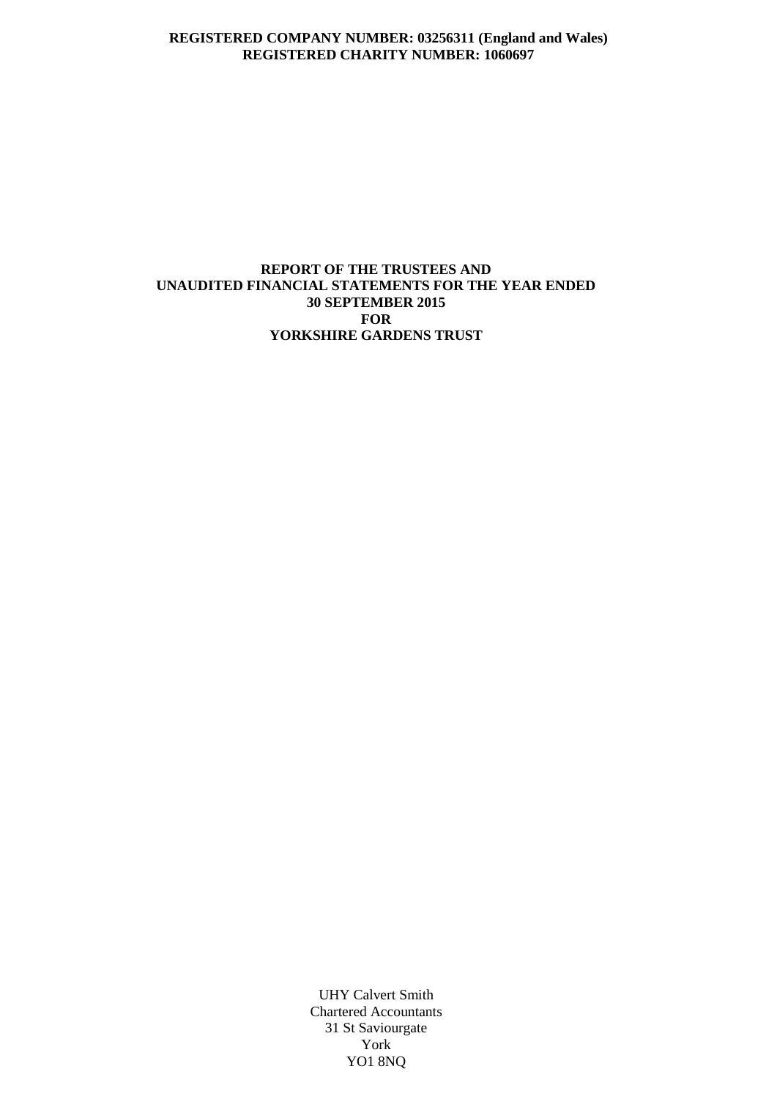## **REGISTERED COMPANY NUMBER: 03256311 (England and Wales) REGISTERED CHARITY NUMBER: 1060697**

## **REPORT OF THE TRUSTEES AND UNAUDITED FINANCIAL STATEMENTS FOR THE YEAR ENDED 30 SEPTEMBER 2015 FOR YORKSHIRE GARDENS TRUST**

UHY Calvert Smith Chartered Accountants 31 St Saviourgate York YO1 8NQ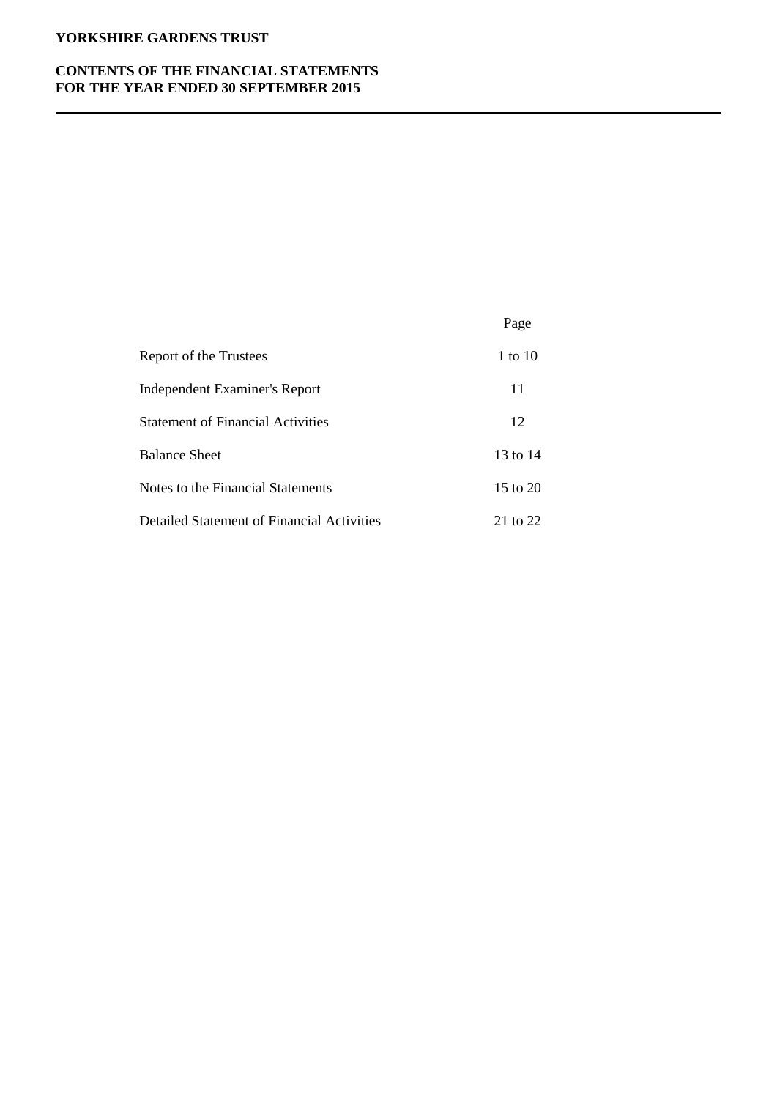## **CONTENTS OF THE FINANCIAL STATEMENTS FOR THE YEAR ENDED 30 SEPTEMBER 2015**

|                                            | Page         |
|--------------------------------------------|--------------|
| Report of the Trustees                     | 1 to 10      |
| Independent Examiner's Report              | 11           |
| <b>Statement of Financial Activities</b>   | 12           |
| <b>Balance Sheet</b>                       | 13 to $14$   |
| Notes to the Financial Statements          | $15$ to $20$ |
| Detailed Statement of Financial Activities | 21 to 22     |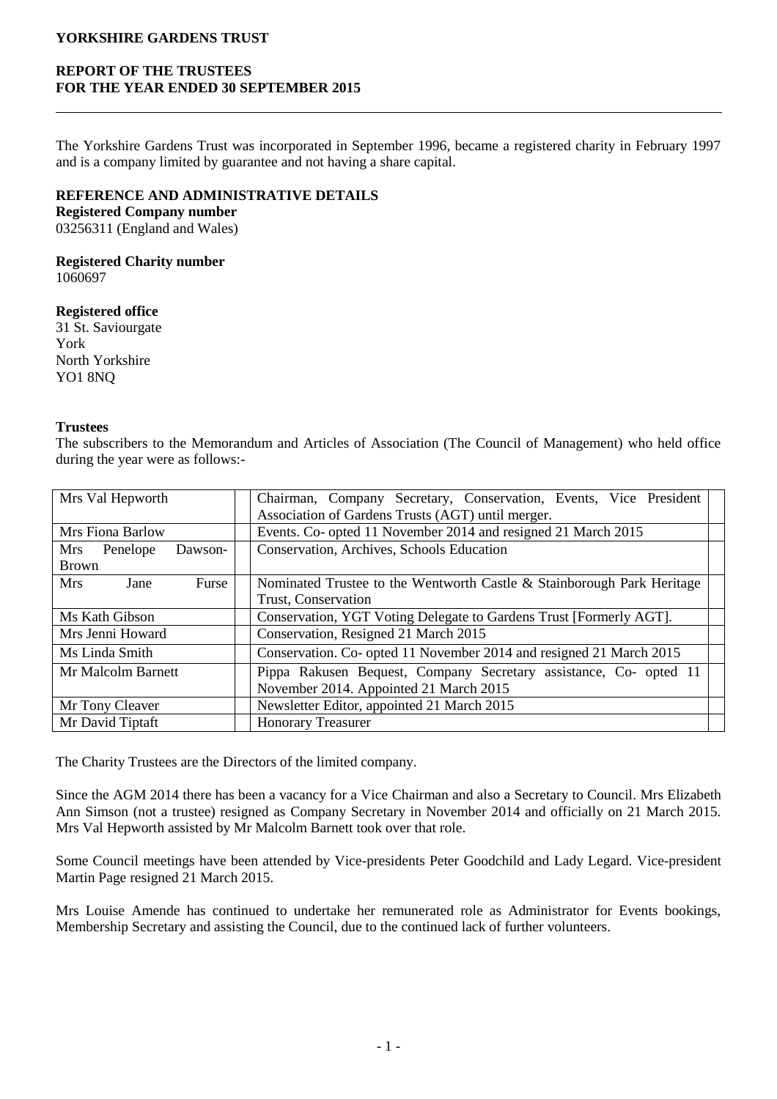## **REPORT OF THE TRUSTEES FOR THE YEAR ENDED 30 SEPTEMBER 2015**

The Yorkshire Gardens Trust was incorporated in September 1996, became a registered charity in February 1997 and is a company limited by guarantee and not having a share capital.

## **REFERENCE AND ADMINISTRATIVE DETAILS**

**Registered Company number** 03256311 (England and Wales)

# **Registered Charity number**

1060697

## **Registered office**

31 St. Saviourgate York North Yorkshire YO1 8NQ

#### **Trustees**

The subscribers to the Memorandum and Articles of Association (The Council of Management) who held office during the year were as follows:-

| Mrs Val Hepworth<br>Chairman, Company Secretary, Conservation, Events, Vice President<br>Association of Gardens Trusts (AGT) until merger. |                                                                    |                                                                        |  |  |
|--------------------------------------------------------------------------------------------------------------------------------------------|--------------------------------------------------------------------|------------------------------------------------------------------------|--|--|
| Mrs Fiona Barlow                                                                                                                           |                                                                    | Events. Co- opted 11 November 2014 and resigned 21 March 2015          |  |  |
| Mrs<br>Penelope<br>Dawson-                                                                                                                 |                                                                    | Conservation, Archives, Schools Education                              |  |  |
| <b>Brown</b>                                                                                                                               |                                                                    |                                                                        |  |  |
| <b>Mrs</b><br>Furse<br>Jane                                                                                                                |                                                                    | Nominated Trustee to the Wentworth Castle & Stainborough Park Heritage |  |  |
| Trust, Conservation                                                                                                                        |                                                                    |                                                                        |  |  |
| Ms Kath Gibson                                                                                                                             | Conservation, YGT Voting Delegate to Gardens Trust [Formerly AGT]. |                                                                        |  |  |
| Mrs Jenni Howard<br>Conservation, Resigned 21 March 2015                                                                                   |                                                                    |                                                                        |  |  |
| Conservation. Co- opted 11 November 2014 and resigned 21 March 2015<br>Ms Linda Smith                                                      |                                                                    |                                                                        |  |  |
| Pippa Rakusen Bequest, Company Secretary assistance, Co- opted 11<br>Mr Malcolm Barnett                                                    |                                                                    |                                                                        |  |  |
| November 2014. Appointed 21 March 2015                                                                                                     |                                                                    |                                                                        |  |  |
| Mr Tony Cleaver                                                                                                                            | Newsletter Editor, appointed 21 March 2015                         |                                                                        |  |  |
| Mr David Tiptaft                                                                                                                           |                                                                    | <b>Honorary Treasurer</b>                                              |  |  |

The Charity Trustees are the Directors of the limited company.

Since the AGM 2014 there has been a vacancy for a Vice Chairman and also a Secretary to Council. Mrs Elizabeth Ann Simson (not a trustee) resigned as Company Secretary in November 2014 and officially on 21 March 2015. Mrs Val Hepworth assisted by Mr Malcolm Barnett took over that role.

Some Council meetings have been attended by Vice-presidents Peter Goodchild and Lady Legard. Vice-president Martin Page resigned 21 March 2015.

Mrs Louise Amende has continued to undertake her remunerated role as Administrator for Events bookings, Membership Secretary and assisting the Council, due to the continued lack of further volunteers.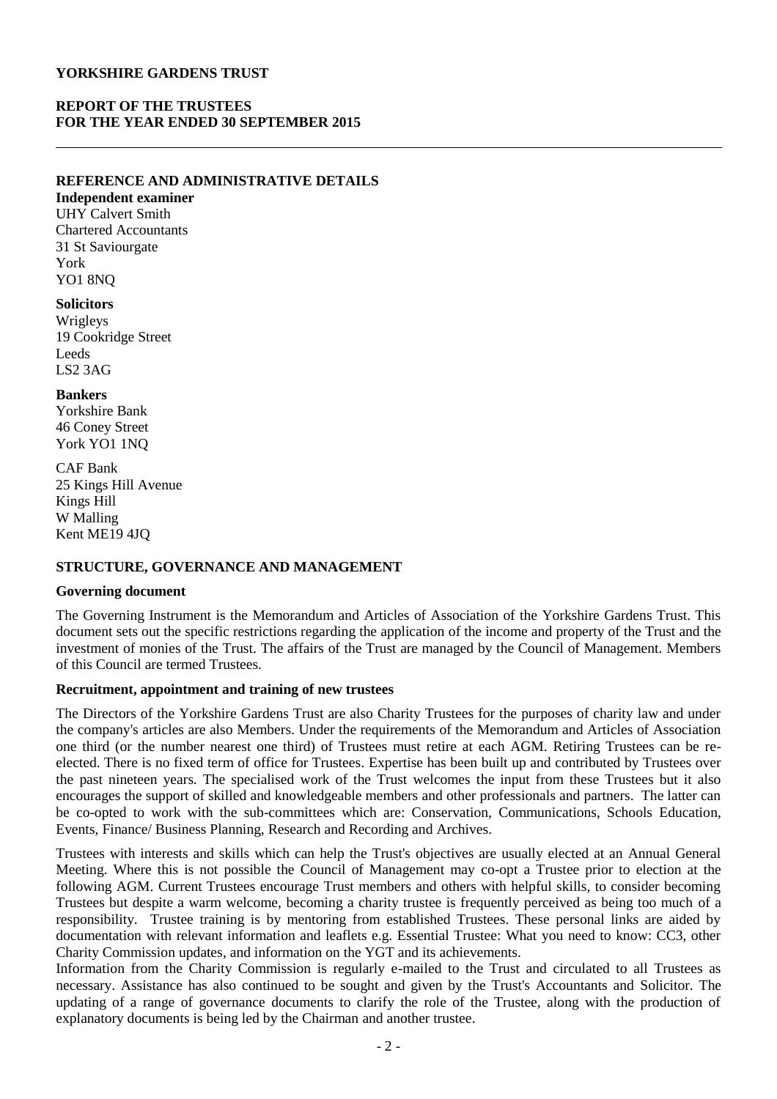## **REPORT OF THE TRUSTEES FOR THE YEAR ENDED 30 SEPTEMBER 2015**

#### **REFERENCE AND ADMINISTRATIVE DETAILS**

**Independent examiner** UHY Calvert Smith Chartered Accountants 31 St Saviourgate York YO1 8NQ

#### **Solicitors**

Wrigleys 19 Cookridge Street Leeds LS2 3AG

#### **Bankers**

Yorkshire Bank 46 Coney Street York YO1 1NQ

CAF Bank 25 Kings Hill Avenue Kings Hill W Malling Kent ME19 4JQ

## **STRUCTURE, GOVERNANCE AND MANAGEMENT**

## **Governing document**

The Governing Instrument is the Memorandum and Articles of Association of the Yorkshire Gardens Trust. This document sets out the specific restrictions regarding the application of the income and property of the Trust and the investment of monies of the Trust. The affairs of the Trust are managed by the Council of Management. Members of this Council are termed Trustees.

## **Recruitment, appointment and training of new trustees**

The Directors of the Yorkshire Gardens Trust are also Charity Trustees for the purposes of charity law and under the company's articles are also Members. Under the requirements of the Memorandum and Articles of Association one third (or the number nearest one third) of Trustees must retire at each AGM. Retiring Trustees can be reelected. There is no fixed term of office for Trustees. Expertise has been built up and contributed by Trustees over the past nineteen years. The specialised work of the Trust welcomes the input from these Trustees but it also encourages the support of skilled and knowledgeable members and other professionals and partners. The latter can be co-opted to work with the sub-committees which are: Conservation, Communications, Schools Education, Events, Finance/ Business Planning, Research and Recording and Archives.

Trustees with interests and skills which can help the Trust's objectives are usually elected at an Annual General Meeting. Where this is not possible the Council of Management may co-opt a Trustee prior to election at the following AGM. Current Trustees encourage Trust members and others with helpful skills, to consider becoming Trustees but despite a warm welcome, becoming a charity trustee is frequently perceived as being too much of a responsibility. Trustee training is by mentoring from established Trustees. These personal links are aided by documentation with relevant information and leaflets e.g. Essential Trustee: What you need to know: CC3, other Charity Commission updates, and information on the YGT and its achievements.

Information from the Charity Commission is regularly e-mailed to the Trust and circulated to all Trustees as necessary. Assistance has also continued to be sought and given by the Trust's Accountants and Solicitor. The updating of a range of governance documents to clarify the role of the Trustee, along with the production of explanatory documents is being led by the Chairman and another trustee.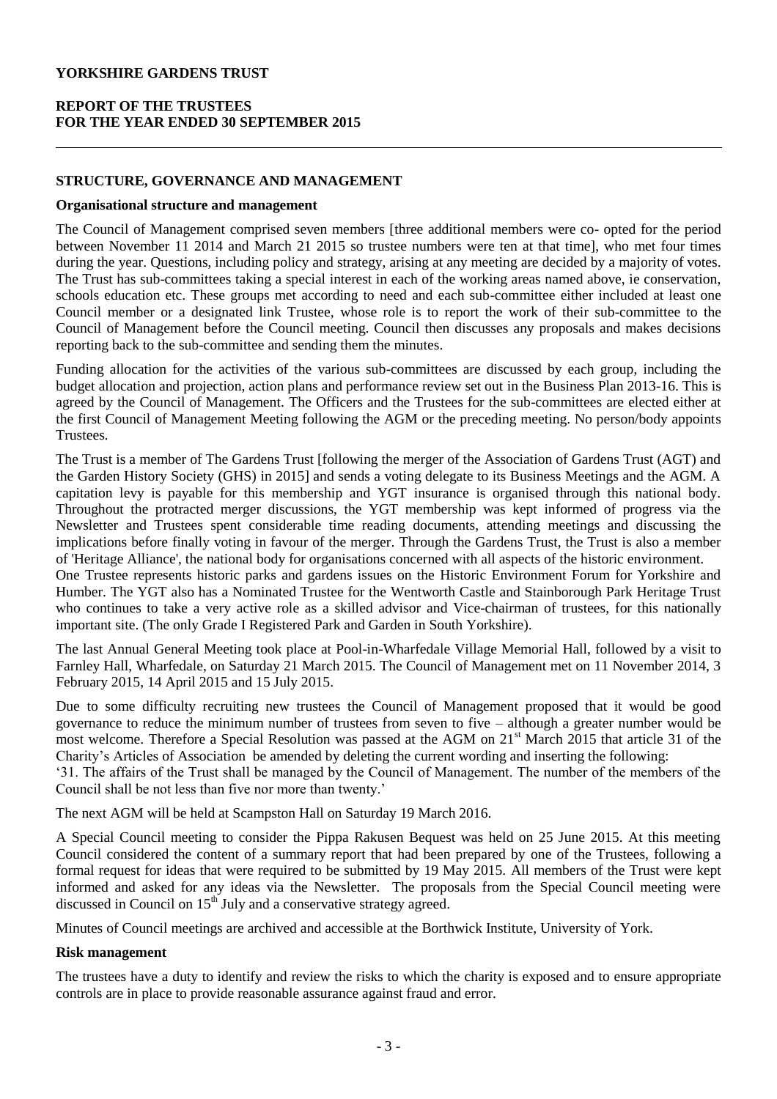## **REPORT OF THE TRUSTEES FOR THE YEAR ENDED 30 SEPTEMBER 2015**

## **STRUCTURE, GOVERNANCE AND MANAGEMENT**

#### **Organisational structure and management**

The Council of Management comprised seven members [three additional members were co- opted for the period between November 11 2014 and March 21 2015 so trustee numbers were ten at that time], who met four times during the year. Questions, including policy and strategy, arising at any meeting are decided by a majority of votes. The Trust has sub-committees taking a special interest in each of the working areas named above, ie conservation, schools education etc. These groups met according to need and each sub-committee either included at least one Council member or a designated link Trustee, whose role is to report the work of their sub-committee to the Council of Management before the Council meeting. Council then discusses any proposals and makes decisions reporting back to the sub-committee and sending them the minutes.

Funding allocation for the activities of the various sub-committees are discussed by each group, including the budget allocation and projection, action plans and performance review set out in the Business Plan 2013-16. This is agreed by the Council of Management. The Officers and the Trustees for the sub-committees are elected either at the first Council of Management Meeting following the AGM or the preceding meeting. No person/body appoints Trustees.

The Trust is a member of The Gardens Trust [following the merger of the Association of Gardens Trust (AGT) and the Garden History Society (GHS) in 2015] and sends a voting delegate to its Business Meetings and the AGM. A capitation levy is payable for this membership and YGT insurance is organised through this national body. Throughout the protracted merger discussions, the YGT membership was kept informed of progress via the Newsletter and Trustees spent considerable time reading documents, attending meetings and discussing the implications before finally voting in favour of the merger. Through the Gardens Trust, the Trust is also a member of 'Heritage Alliance', the national body for organisations concerned with all aspects of the historic environment.

One Trustee represents historic parks and gardens issues on the Historic Environment Forum for Yorkshire and Humber. The YGT also has a Nominated Trustee for the Wentworth Castle and Stainborough Park Heritage Trust who continues to take a very active role as a skilled advisor and Vice-chairman of trustees, for this nationally important site. (The only Grade I Registered Park and Garden in South Yorkshire).

The last Annual General Meeting took place at Pool-in-Wharfedale Village Memorial Hall, followed by a visit to Farnley Hall, Wharfedale, on Saturday 21 March 2015. The Council of Management met on 11 November 2014, 3 February 2015, 14 April 2015 and 15 July 2015.

Due to some difficulty recruiting new trustees the Council of Management proposed that it would be good governance to reduce the minimum number of trustees from seven to five – although a greater number would be most welcome. Therefore a Special Resolution was passed at the AGM on 21<sup>st</sup> March 2015 that article 31 of the Charity's Articles of Association be amended by deleting the current wording and inserting the following:

'31. The affairs of the Trust shall be managed by the Council of Management. The number of the members of the Council shall be not less than five nor more than twenty.'

The next AGM will be held at Scampston Hall on Saturday 19 March 2016.

A Special Council meeting to consider the Pippa Rakusen Bequest was held on 25 June 2015. At this meeting Council considered the content of a summary report that had been prepared by one of the Trustees, following a formal request for ideas that were required to be submitted by 19 May 2015. All members of the Trust were kept informed and asked for any ideas via the Newsletter. The proposals from the Special Council meeting were discussed in Council on  $15<sup>th</sup>$  July and a conservative strategy agreed.

Minutes of Council meetings are archived and accessible at the Borthwick Institute, University of York.

## **Risk management**

The trustees have a duty to identify and review the risks to which the charity is exposed and to ensure appropriate controls are in place to provide reasonable assurance against fraud and error.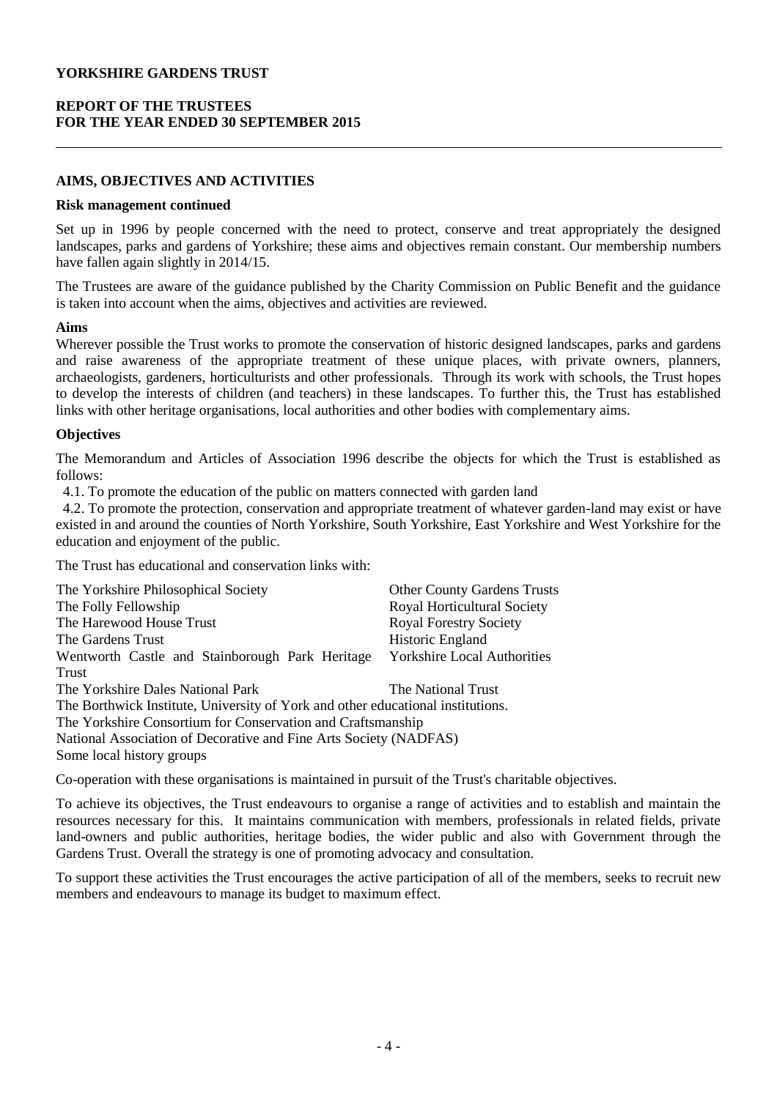## **REPORT OF THE TRUSTEES FOR THE YEAR ENDED 30 SEPTEMBER 2015**

## **AIMS, OBJECTIVES AND ACTIVITIES**

#### **Risk management continued**

Set up in 1996 by people concerned with the need to protect, conserve and treat appropriately the designed landscapes, parks and gardens of Yorkshire; these aims and objectives remain constant. Our membership numbers have fallen again slightly in 2014/15.

The Trustees are aware of the guidance published by the Charity Commission on Public Benefit and the guidance is taken into account when the aims, objectives and activities are reviewed.

#### **Aims**

Wherever possible the Trust works to promote the conservation of historic designed landscapes, parks and gardens and raise awareness of the appropriate treatment of these unique places, with private owners, planners, archaeologists, gardeners, horticulturists and other professionals. Through its work with schools, the Trust hopes to develop the interests of children (and teachers) in these landscapes. To further this, the Trust has established links with other heritage organisations, local authorities and other bodies with complementary aims.

## **Objectives**

The Memorandum and Articles of Association 1996 describe the objects for which the Trust is established as follows:

4.1. To promote the education of the public on matters connected with garden land

 4.2. To promote the protection, conservation and appropriate treatment of whatever garden-land may exist or have existed in and around the counties of North Yorkshire, South Yorkshire, East Yorkshire and West Yorkshire for the education and enjoyment of the public.

The Trust has educational and conservation links with:

| The Yorkshire Philosophical Society                                             | <b>Other County Gardens Trusts</b> |
|---------------------------------------------------------------------------------|------------------------------------|
| The Folly Fellowship                                                            | <b>Royal Horticultural Society</b> |
| The Harewood House Trust                                                        | <b>Royal Forestry Society</b>      |
| The Gardens Trust                                                               | Historic England                   |
| Wentworth Castle and Stainborough Park Heritage                                 | <b>Yorkshire Local Authorities</b> |
| Trust                                                                           |                                    |
| The Yorkshire Dales National Park                                               | The National Trust                 |
| The Borthwick Institute, University of York and other educational institutions. |                                    |
| The Yorkshire Consortium for Conservation and Craftsmanship                     |                                    |
| National Association of Decorative and Fine Arts Society (NADFAS)               |                                    |
| Some local history groups                                                       |                                    |

Co-operation with these organisations is maintained in pursuit of the Trust's charitable objectives.

To achieve its objectives, the Trust endeavours to organise a range of activities and to establish and maintain the resources necessary for this. It maintains communication with members, professionals in related fields, private land-owners and public authorities, heritage bodies, the wider public and also with Government through the Gardens Trust. Overall the strategy is one of promoting advocacy and consultation.

To support these activities the Trust encourages the active participation of all of the members, seeks to recruit new members and endeavours to manage its budget to maximum effect.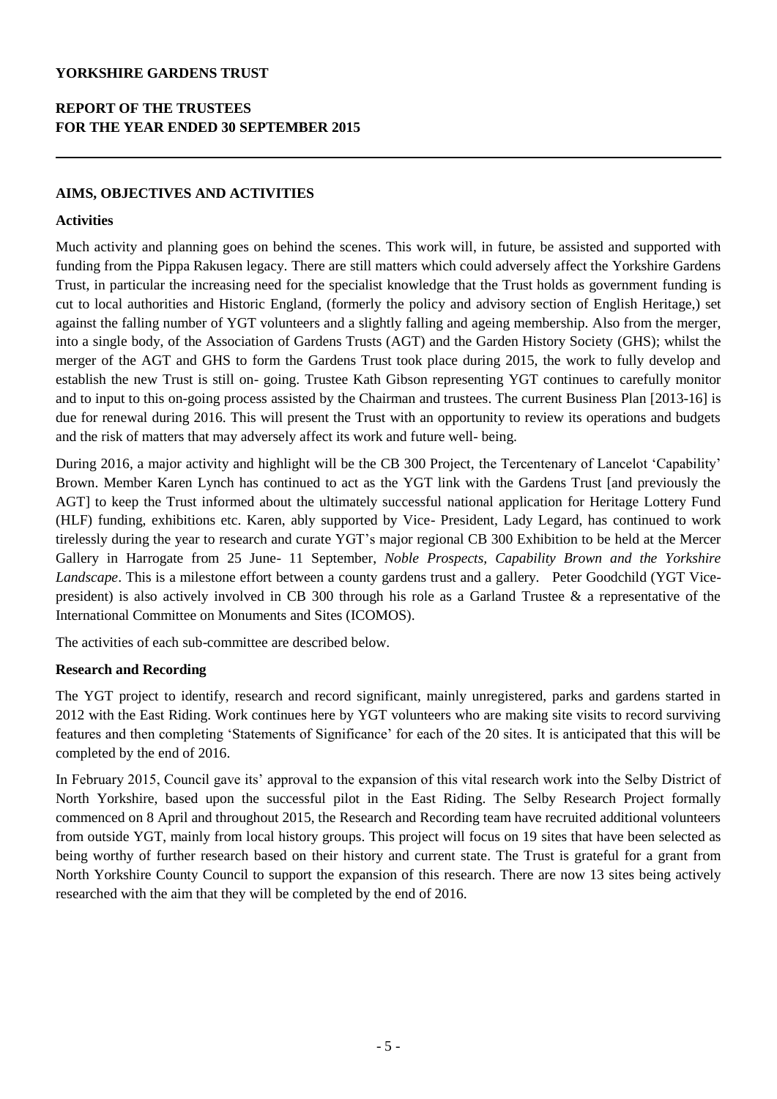# **REPORT OF THE TRUSTEES FOR THE YEAR ENDED 30 SEPTEMBER 2015**

## **AIMS, OBJECTIVES AND ACTIVITIES**

## **Activities**

Much activity and planning goes on behind the scenes. This work will, in future, be assisted and supported with funding from the Pippa Rakusen legacy. There are still matters which could adversely affect the Yorkshire Gardens Trust, in particular the increasing need for the specialist knowledge that the Trust holds as government funding is cut to local authorities and Historic England, (formerly the policy and advisory section of English Heritage,) set against the falling number of YGT volunteers and a slightly falling and ageing membership. Also from the merger, into a single body, of the Association of Gardens Trusts (AGT) and the Garden History Society (GHS); whilst the merger of the AGT and GHS to form the Gardens Trust took place during 2015, the work to fully develop and establish the new Trust is still on- going. Trustee Kath Gibson representing YGT continues to carefully monitor and to input to this on-going process assisted by the Chairman and trustees. The current Business Plan [2013-16] is due for renewal during 2016. This will present the Trust with an opportunity to review its operations and budgets and the risk of matters that may adversely affect its work and future well- being.

During 2016, a major activity and highlight will be the CB 300 Project, the Tercentenary of Lancelot 'Capability' Brown. Member Karen Lynch has continued to act as the YGT link with the Gardens Trust [and previously the AGT] to keep the Trust informed about the ultimately successful national application for Heritage Lottery Fund (HLF) funding, exhibitions etc. Karen, ably supported by Vice- President, Lady Legard, has continued to work tirelessly during the year to research and curate YGT's major regional CB 300 Exhibition to be held at the Mercer Gallery in Harrogate from 25 June- 11 September, *Noble Prospects, Capability Brown and the Yorkshire Landscape*. This is a milestone effort between a county gardens trust and a gallery. Peter Goodchild (YGT Vicepresident) is also actively involved in CB 300 through his role as a Garland Trustee & a representative of the International Committee on Monuments and Sites (ICOMOS).

The activities of each sub-committee are described below.

## **Research and Recording**

The YGT project to identify, research and record significant, mainly unregistered, parks and gardens started in 2012 with the East Riding. Work continues here by YGT volunteers who are making site visits to record surviving features and then completing 'Statements of Significance' for each of the 20 sites. It is anticipated that this will be completed by the end of 2016.

In February 2015, Council gave its' approval to the expansion of this vital research work into the Selby District of North Yorkshire, based upon the successful pilot in the East Riding. The Selby Research Project formally commenced on 8 April and throughout 2015, the Research and Recording team have recruited additional volunteers from outside YGT, mainly from local history groups. This project will focus on 19 sites that have been selected as being worthy of further research based on their history and current state. The Trust is grateful for a grant from North Yorkshire County Council to support the expansion of this research. There are now 13 sites being actively researched with the aim that they will be completed by the end of 2016.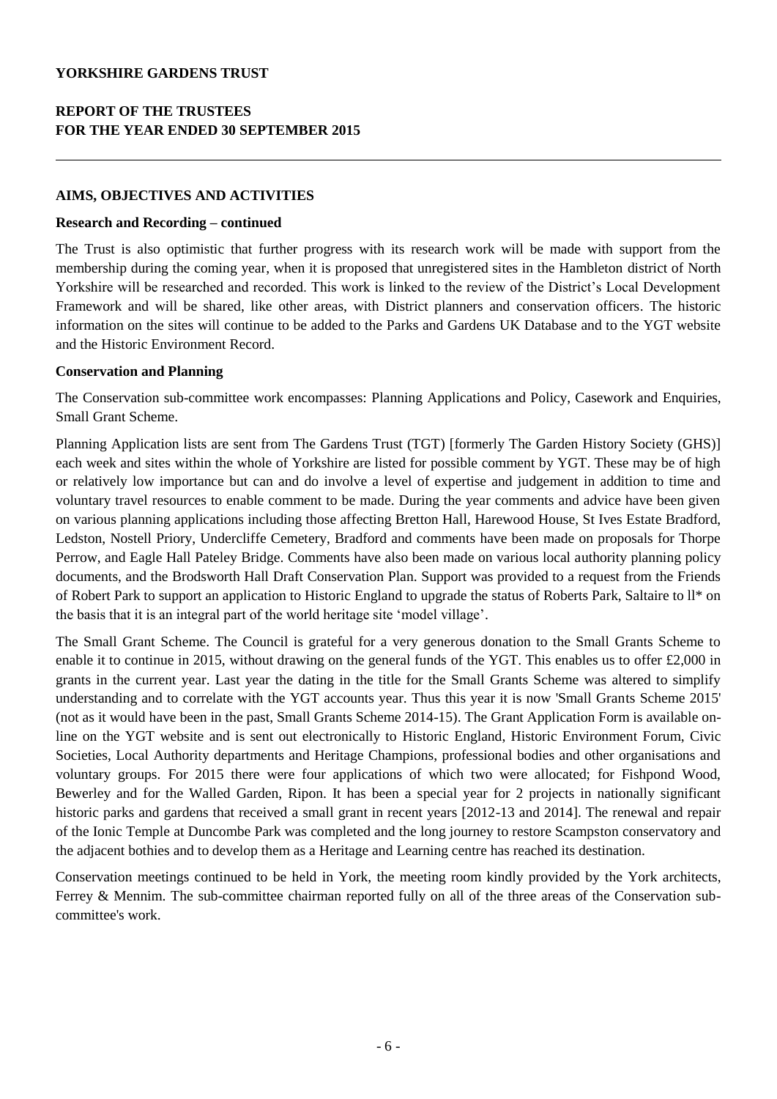## **AIMS, OBJECTIVES AND ACTIVITIES**

#### **Research and Recording – continued**

The Trust is also optimistic that further progress with its research work will be made with support from the membership during the coming year, when it is proposed that unregistered sites in the Hambleton district of North Yorkshire will be researched and recorded. This work is linked to the review of the District's Local Development Framework and will be shared, like other areas, with District planners and conservation officers. The historic information on the sites will continue to be added to the Parks and Gardens UK Database and to the YGT website and the Historic Environment Record.

## **Conservation and Planning**

The Conservation sub-committee work encompasses: Planning Applications and Policy, Casework and Enquiries, Small Grant Scheme.

Planning Application lists are sent from The Gardens Trust (TGT) [formerly The Garden History Society (GHS)] each week and sites within the whole of Yorkshire are listed for possible comment by YGT. These may be of high or relatively low importance but can and do involve a level of expertise and judgement in addition to time and voluntary travel resources to enable comment to be made. During the year comments and advice have been given on various planning applications including those affecting Bretton Hall, Harewood House, St Ives Estate Bradford, Ledston, Nostell Priory, Undercliffe Cemetery, Bradford and comments have been made on proposals for Thorpe Perrow, and Eagle Hall Pateley Bridge. Comments have also been made on various local authority planning policy documents, and the Brodsworth Hall Draft Conservation Plan. Support was provided to a request from the Friends of Robert Park to support an application to Historic England to upgrade the status of Roberts Park, Saltaire to ll\* on the basis that it is an integral part of the world heritage site 'model village'.

The Small Grant Scheme. The Council is grateful for a very generous donation to the Small Grants Scheme to enable it to continue in 2015, without drawing on the general funds of the YGT. This enables us to offer £2,000 in grants in the current year. Last year the dating in the title for the Small Grants Scheme was altered to simplify understanding and to correlate with the YGT accounts year. Thus this year it is now 'Small Grants Scheme 2015' (not as it would have been in the past, Small Grants Scheme 2014-15). The Grant Application Form is available online on the YGT website and is sent out electronically to Historic England, Historic Environment Forum, Civic Societies, Local Authority departments and Heritage Champions, professional bodies and other organisations and voluntary groups. For 2015 there were four applications of which two were allocated; for Fishpond Wood, Bewerley and for the Walled Garden, Ripon. It has been a special year for 2 projects in nationally significant historic parks and gardens that received a small grant in recent years [2012-13 and 2014]. The renewal and repair of the Ionic Temple at Duncombe Park was completed and the long journey to restore Scampston conservatory and the adjacent bothies and to develop them as a Heritage and Learning centre has reached its destination.

Conservation meetings continued to be held in York, the meeting room kindly provided by the York architects, Ferrey & Mennim. The sub-committee chairman reported fully on all of the three areas of the Conservation subcommittee's work.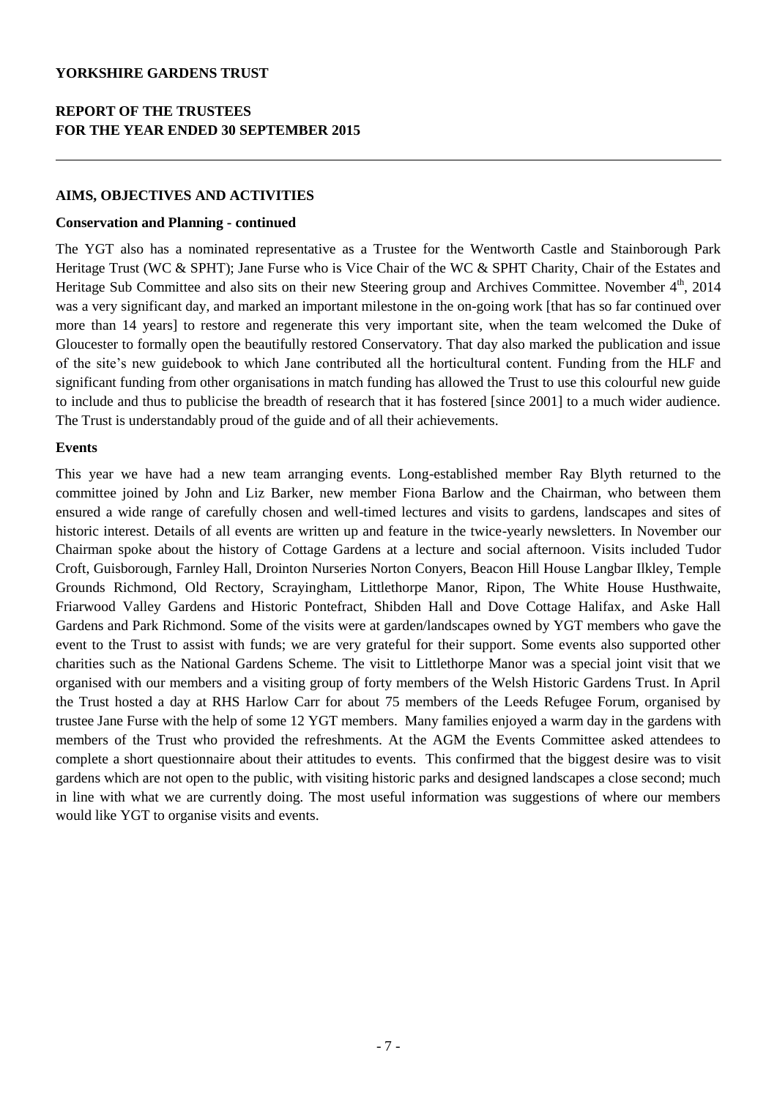## **AIMS, OBJECTIVES AND ACTIVITIES**

#### **Conservation and Planning - continued**

The YGT also has a nominated representative as a Trustee for the Wentworth Castle and Stainborough Park Heritage Trust (WC & SPHT); Jane Furse who is Vice Chair of the WC & SPHT Charity, Chair of the Estates and Heritage Sub Committee and also sits on their new Steering group and Archives Committee. November  $4<sup>th</sup>$ , 2014 was a very significant day, and marked an important milestone in the on-going work [that has so far continued over more than 14 years] to restore and regenerate this very important site, when the team welcomed the Duke of Gloucester to formally open the beautifully restored Conservatory. That day also marked the publication and issue of the site's new guidebook to which Jane contributed all the horticultural content. Funding from the HLF and significant funding from other organisations in match funding has allowed the Trust to use this colourful new guide to include and thus to publicise the breadth of research that it has fostered [since 2001] to a much wider audience. The Trust is understandably proud of the guide and of all their achievements.

## **Events**

This year we have had a new team arranging events. Long-established member Ray Blyth returned to the committee joined by John and Liz Barker, new member Fiona Barlow and the Chairman, who between them ensured a wide range of carefully chosen and well-timed lectures and visits to gardens, landscapes and sites of historic interest. Details of all events are written up and feature in the twice-yearly newsletters. In November our Chairman spoke about the history of Cottage Gardens at a lecture and social afternoon. Visits included Tudor Croft, Guisborough, Farnley Hall, Drointon Nurseries Norton Conyers, Beacon Hill House Langbar Ilkley, Temple Grounds Richmond, Old Rectory, Scrayingham, Littlethorpe Manor, Ripon, The White House Husthwaite, Friarwood Valley Gardens and Historic Pontefract, Shibden Hall and Dove Cottage Halifax, and Aske Hall Gardens and Park Richmond. Some of the visits were at garden/landscapes owned by YGT members who gave the event to the Trust to assist with funds; we are very grateful for their support. Some events also supported other charities such as the National Gardens Scheme. The visit to Littlethorpe Manor was a special joint visit that we organised with our members and a visiting group of forty members of the Welsh Historic Gardens Trust. In April the Trust hosted a day at RHS Harlow Carr for about 75 members of the Leeds Refugee Forum, organised by trustee Jane Furse with the help of some 12 YGT members. Many families enjoyed a warm day in the gardens with members of the Trust who provided the refreshments. At the AGM the Events Committee asked attendees to complete a short questionnaire about their attitudes to events. This confirmed that the biggest desire was to visit gardens which are not open to the public, with visiting historic parks and designed landscapes a close second; much in line with what we are currently doing. The most useful information was suggestions of where our members would like YGT to organise visits and events.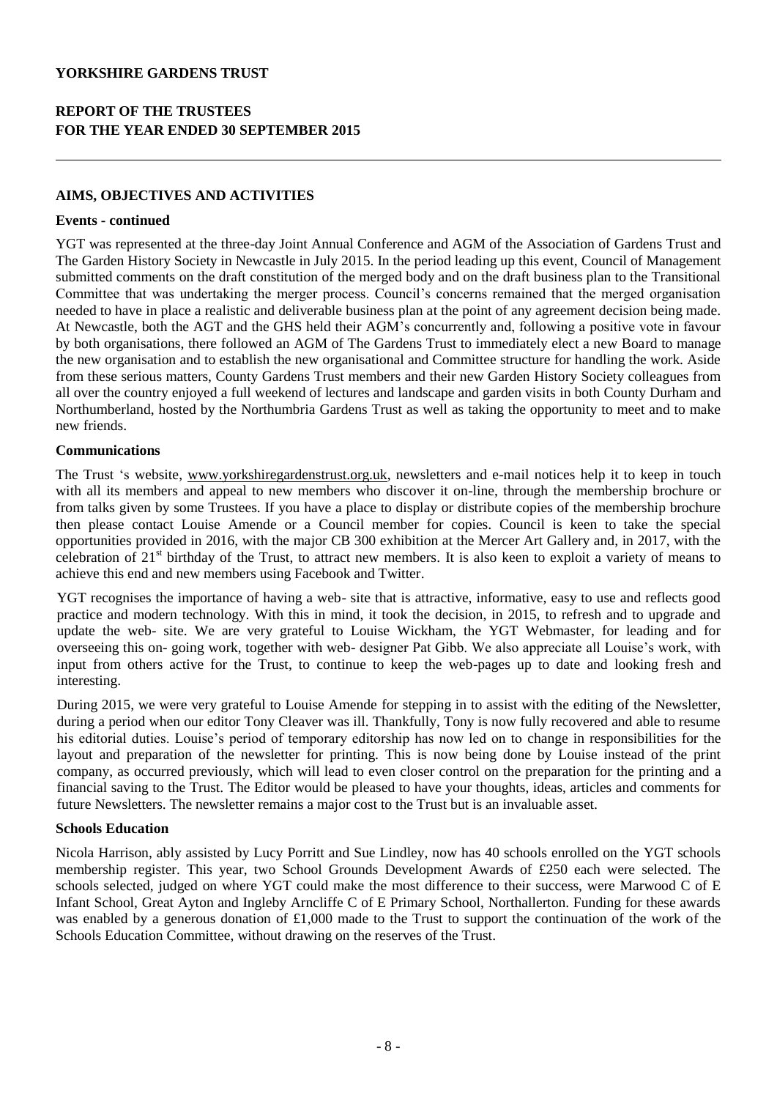## **AIMS, OBJECTIVES AND ACTIVITIES**

#### **Events - continued**

YGT was represented at the three-day Joint Annual Conference and AGM of the Association of Gardens Trust and The Garden History Society in Newcastle in July 2015. In the period leading up this event, Council of Management submitted comments on the draft constitution of the merged body and on the draft business plan to the Transitional Committee that was undertaking the merger process. Council's concerns remained that the merged organisation needed to have in place a realistic and deliverable business plan at the point of any agreement decision being made. At Newcastle, both the AGT and the GHS held their AGM's concurrently and, following a positive vote in favour by both organisations, there followed an AGM of The Gardens Trust to immediately elect a new Board to manage the new organisation and to establish the new organisational and Committee structure for handling the work. Aside from these serious matters, County Gardens Trust members and their new Garden History Society colleagues from all over the country enjoyed a full weekend of lectures and landscape and garden visits in both County Durham and Northumberland, hosted by the Northumbria Gardens Trust as well as taking the opportunity to meet and to make new friends.

## **Communications**

The Trust 's website, [www.yorkshiregardenstrust.org.uk,](http://www.yorkshiregardenstrust.org.uk/) newsletters and e-mail notices help it to keep in touch with all its members and appeal to new members who discover it on-line, through the membership brochure or from talks given by some Trustees. If you have a place to display or distribute copies of the membership brochure then please contact Louise Amende or a Council member for copies. Council is keen to take the special opportunities provided in 2016, with the major CB 300 exhibition at the Mercer Art Gallery and, in 2017, with the celebration of  $21<sup>st</sup>$  birthday of the Trust, to attract new members. It is also keen to exploit a variety of means to achieve this end and new members using Facebook and Twitter.

YGT recognises the importance of having a web- site that is attractive, informative, easy to use and reflects good practice and modern technology. With this in mind, it took the decision, in 2015, to refresh and to upgrade and update the web- site. We are very grateful to Louise Wickham, the YGT Webmaster, for leading and for overseeing this on- going work, together with web- designer Pat Gibb. We also appreciate all Louise's work, with input from others active for the Trust, to continue to keep the web-pages up to date and looking fresh and interesting.

During 2015, we were very grateful to Louise Amende for stepping in to assist with the editing of the Newsletter, during a period when our editor Tony Cleaver was ill. Thankfully, Tony is now fully recovered and able to resume his editorial duties. Louise's period of temporary editorship has now led on to change in responsibilities for the layout and preparation of the newsletter for printing. This is now being done by Louise instead of the print company, as occurred previously, which will lead to even closer control on the preparation for the printing and a financial saving to the Trust. The Editor would be pleased to have your thoughts, ideas, articles and comments for future Newsletters. The newsletter remains a major cost to the Trust but is an invaluable asset.

## **Schools Education**

Nicola Harrison, ably assisted by Lucy Porritt and Sue Lindley, now has 40 schools enrolled on the YGT schools membership register. This year, two School Grounds Development Awards of £250 each were selected. The schools selected, judged on where YGT could make the most difference to their success, were Marwood C of E Infant School, Great Ayton and Ingleby Arncliffe C of E Primary School, Northallerton. Funding for these awards was enabled by a generous donation of £1,000 made to the Trust to support the continuation of the work of the Schools Education Committee, without drawing on the reserves of the Trust.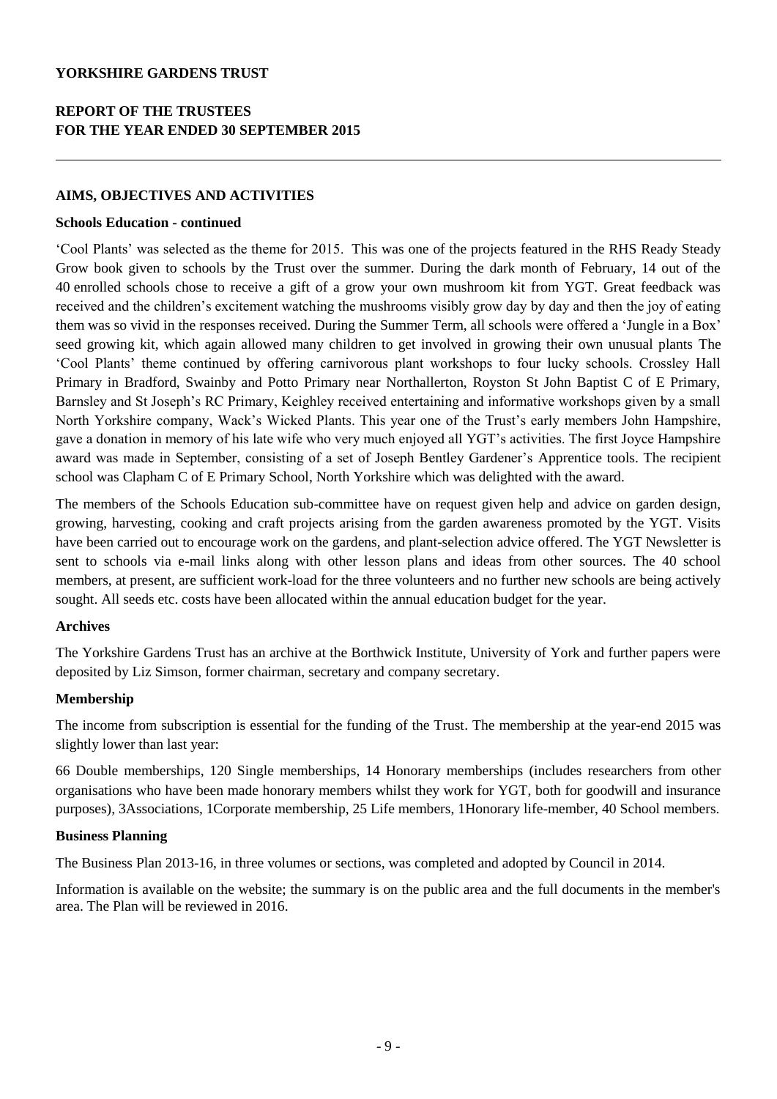## **AIMS, OBJECTIVES AND ACTIVITIES**

#### **Schools Education - continued**

'Cool Plants' was selected as the theme for 2015. This was one of the projects featured in the RHS Ready Steady Grow book given to schools by the Trust over the summer. During the dark month of February, 14 out of the 40 enrolled schools chose to receive a gift of a grow your own mushroom kit from YGT. Great feedback was received and the children's excitement watching the mushrooms visibly grow day by day and then the joy of eating them was so vivid in the responses received. During the Summer Term, all schools were offered a 'Jungle in a Box' seed growing kit, which again allowed many children to get involved in growing their own unusual plants The 'Cool Plants' theme continued by offering carnivorous plant workshops to four lucky schools. Crossley Hall Primary in Bradford, Swainby and Potto Primary near Northallerton, Royston St John Baptist C of E Primary, Barnsley and St Joseph's RC Primary, Keighley received entertaining and informative workshops given by a small North Yorkshire company, Wack's Wicked Plants. This year one of the Trust's early members John Hampshire, gave a donation in memory of his late wife who very much enjoyed all YGT's activities. The first Joyce Hampshire award was made in September, consisting of a set of Joseph Bentley Gardener's Apprentice tools. The recipient school was Clapham C of E Primary School, North Yorkshire which was delighted with the award.

The members of the Schools Education sub-committee have on request given help and advice on garden design, growing, harvesting, cooking and craft projects arising from the garden awareness promoted by the YGT. Visits have been carried out to encourage work on the gardens, and plant-selection advice offered. The YGT Newsletter is sent to schools via e-mail links along with other lesson plans and ideas from other sources. The 40 school members, at present, are sufficient work-load for the three volunteers and no further new schools are being actively sought. All seeds etc. costs have been allocated within the annual education budget for the year.

## **Archives**

The Yorkshire Gardens Trust has an archive at the Borthwick Institute, University of York and further papers were deposited by Liz Simson, former chairman, secretary and company secretary.

## **Membership**

The income from subscription is essential for the funding of the Trust. The membership at the year-end 2015 was slightly lower than last year:

66 Double memberships, 120 Single memberships, 14 Honorary memberships (includes researchers from other organisations who have been made honorary members whilst they work for YGT, both for goodwill and insurance purposes), 3Associations, 1Corporate membership, 25 Life members, 1Honorary life-member, 40 School members.

## **Business Planning**

The Business Plan 2013-16, in three volumes or sections, was completed and adopted by Council in 2014.

Information is available on the website; the summary is on the public area and the full documents in the member's area. The Plan will be reviewed in 2016.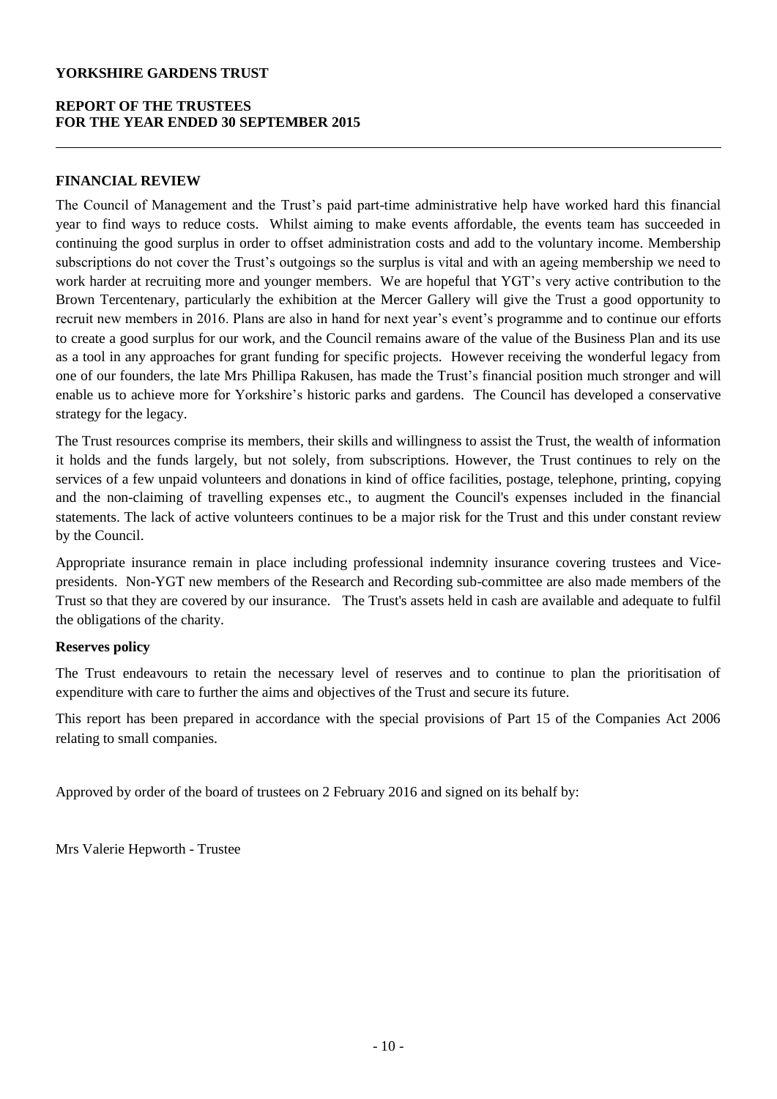## **REPORT OF THE TRUSTEES FOR THE YEAR ENDED 30 SEPTEMBER 2015**

## **FINANCIAL REVIEW**

The Council of Management and the Trust's paid part-time administrative help have worked hard this financial year to find ways to reduce costs. Whilst aiming to make events affordable, the events team has succeeded in continuing the good surplus in order to offset administration costs and add to the voluntary income. Membership subscriptions do not cover the Trust's outgoings so the surplus is vital and with an ageing membership we need to work harder at recruiting more and younger members. We are hopeful that YGT's very active contribution to the Brown Tercentenary, particularly the exhibition at the Mercer Gallery will give the Trust a good opportunity to recruit new members in 2016. Plans are also in hand for next year's event's programme and to continue our efforts to create a good surplus for our work, and the Council remains aware of the value of the Business Plan and its use as a tool in any approaches for grant funding for specific projects. However receiving the wonderful legacy from one of our founders, the late Mrs Phillipa Rakusen, has made the Trust's financial position much stronger and will enable us to achieve more for Yorkshire's historic parks and gardens. The Council has developed a conservative strategy for the legacy.

The Trust resources comprise its members, their skills and willingness to assist the Trust, the wealth of information it holds and the funds largely, but not solely, from subscriptions. However, the Trust continues to rely on the services of a few unpaid volunteers and donations in kind of office facilities, postage, telephone, printing, copying and the non-claiming of travelling expenses etc., to augment the Council's expenses included in the financial statements. The lack of active volunteers continues to be a major risk for the Trust and this under constant review by the Council.

Appropriate insurance remain in place including professional indemnity insurance covering trustees and Vicepresidents. Non-YGT new members of the Research and Recording sub-committee are also made members of the Trust so that they are covered by our insurance. The Trust's assets held in cash are available and adequate to fulfil the obligations of the charity.

## **Reserves policy**

The Trust endeavours to retain the necessary level of reserves and to continue to plan the prioritisation of expenditure with care to further the aims and objectives of the Trust and secure its future.

This report has been prepared in accordance with the special provisions of Part 15 of the Companies Act 2006 relating to small companies.

Approved by order of the board of trustees on 2 February 2016 and signed on its behalf by:

Mrs Valerie Hepworth - Trustee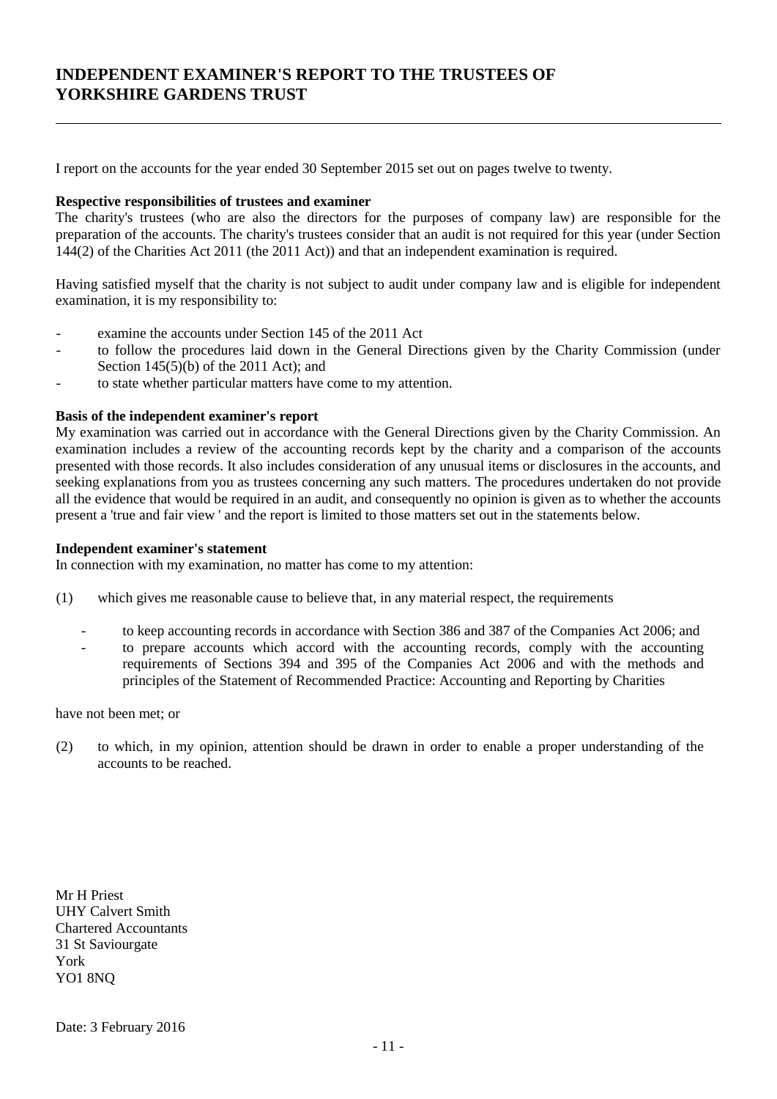# **INDEPENDENT EXAMINER'S REPORT TO THE TRUSTEES OF YORKSHIRE GARDENS TRUST**

I report on the accounts for the year ended 30 September 2015 set out on pages twelve to twenty.

#### **Respective responsibilities of trustees and examiner**

The charity's trustees (who are also the directors for the purposes of company law) are responsible for the preparation of the accounts. The charity's trustees consider that an audit is not required for this year (under Section 144(2) of the Charities Act 2011 (the 2011 Act)) and that an independent examination is required.

Having satisfied myself that the charity is not subject to audit under company law and is eligible for independent examination, it is my responsibility to:

- examine the accounts under Section 145 of the 2011 Act
- to follow the procedures laid down in the General Directions given by the Charity Commission (under Section 145(5)(b) of the 2011 Act); and
- to state whether particular matters have come to my attention.

#### **Basis of the independent examiner's report**

My examination was carried out in accordance with the General Directions given by the Charity Commission. An examination includes a review of the accounting records kept by the charity and a comparison of the accounts presented with those records. It also includes consideration of any unusual items or disclosures in the accounts, and seeking explanations from you as trustees concerning any such matters. The procedures undertaken do not provide all the evidence that would be required in an audit, and consequently no opinion is given as to whether the accounts present a 'true and fair view ' and the report is limited to those matters set out in the statements below.

#### **Independent examiner's statement**

In connection with my examination, no matter has come to my attention:

- (1) which gives me reasonable cause to believe that, in any material respect, the requirements
	- to keep accounting records in accordance with Section 386 and 387 of the Companies Act 2006; and
	- to prepare accounts which accord with the accounting records, comply with the accounting requirements of Sections 394 and 395 of the Companies Act 2006 and with the methods and principles of the Statement of Recommended Practice: Accounting and Reporting by Charities

have not been met; or

(2) to which, in my opinion, attention should be drawn in order to enable a proper understanding of the accounts to be reached.

Mr H Priest UHY Calvert Smith Chartered Accountants 31 St Saviourgate York YO1 8NQ

Date: 3 February 2016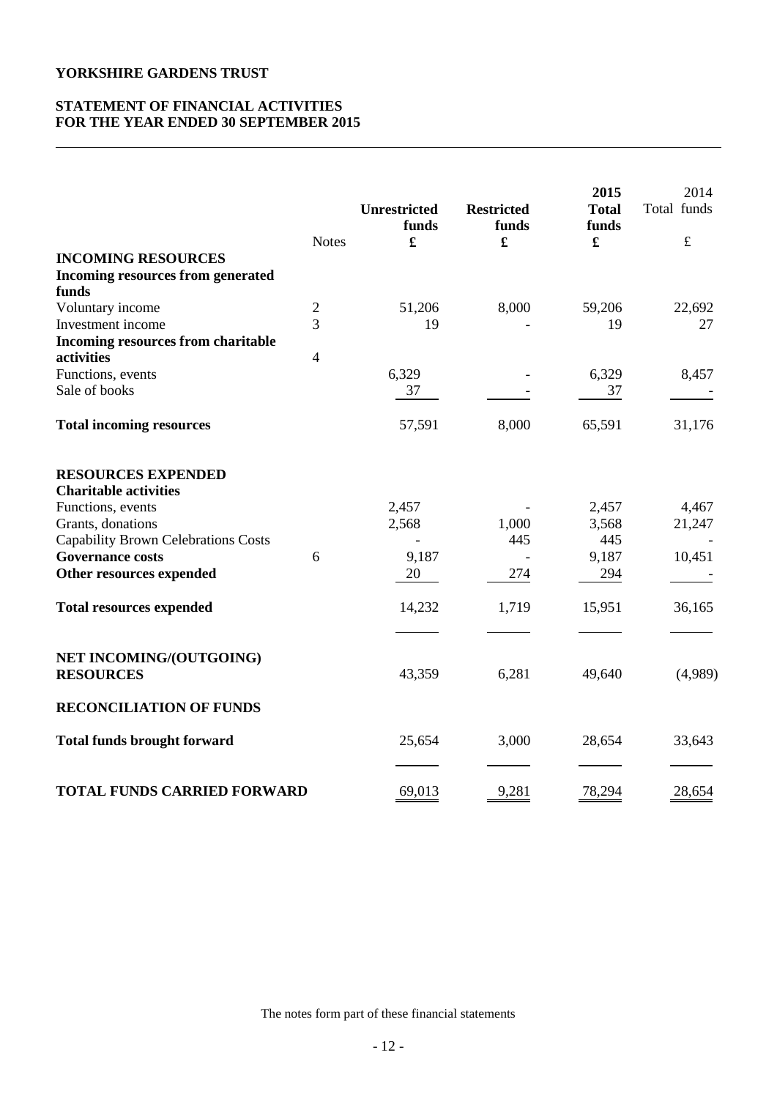## **STATEMENT OF FINANCIAL ACTIVITIES FOR THE YEAR ENDED 30 SEPTEMBER 2015**

| <b>INCOMING RESOURCES</b>                                 | <b>Notes</b>   | <b>Unrestricted</b><br>funds<br>£ | <b>Restricted</b><br>funds<br>£ | 2015<br><b>Total</b><br>funds<br>$\mathbf f$ | 2014<br>Total funds<br>$\pounds$ |
|-----------------------------------------------------------|----------------|-----------------------------------|---------------------------------|----------------------------------------------|----------------------------------|
| <b>Incoming resources from generated</b>                  |                |                                   |                                 |                                              |                                  |
| funds                                                     |                |                                   |                                 |                                              |                                  |
| Voluntary income                                          | $\overline{c}$ | 51,206                            | 8,000                           | 59,206                                       | 22,692                           |
| Investment income                                         | $\overline{3}$ | 19                                |                                 | 19                                           | 27                               |
| <b>Incoming resources from charitable</b>                 |                |                                   |                                 |                                              |                                  |
| activities                                                | $\overline{4}$ |                                   |                                 |                                              |                                  |
| Functions, events                                         |                | 6,329                             |                                 | 6,329                                        | 8,457                            |
| Sale of books                                             |                | 37                                |                                 | 37                                           |                                  |
| <b>Total incoming resources</b>                           |                | 57,591                            | 8,000                           | 65,591                                       | 31,176                           |
| <b>RESOURCES EXPENDED</b><br><b>Charitable activities</b> |                |                                   |                                 |                                              |                                  |
| Functions, events                                         |                | 2,457                             |                                 | 2,457                                        | 4,467                            |
| Grants, donations                                         |                | 2,568                             | 1,000                           | 3,568                                        | 21,247                           |
| <b>Capability Brown Celebrations Costs</b>                |                |                                   | 445                             | 445                                          |                                  |
| <b>Governance costs</b>                                   | 6              | 9,187                             |                                 | 9,187                                        | 10,451                           |
| Other resources expended                                  |                | 20                                | 274                             | 294                                          |                                  |
| <b>Total resources expended</b>                           |                | 14,232                            | 1,719                           | 15,951                                       | 36,165                           |
|                                                           |                |                                   |                                 |                                              |                                  |
| NET INCOMING/(OUTGOING)<br><b>RESOURCES</b>               |                | 43,359                            | 6,281                           | 49,640                                       | (4,989)                          |
| <b>RECONCILIATION OF FUNDS</b>                            |                |                                   |                                 |                                              |                                  |
| <b>Total funds brought forward</b>                        |                | 25,654                            | 3,000                           | 28,654                                       | 33,643                           |
| <b>TOTAL FUNDS CARRIED FORWARD</b>                        |                | 69,013                            | 9,281                           | 78,294                                       | 28,654                           |

The notes form part of these financial statements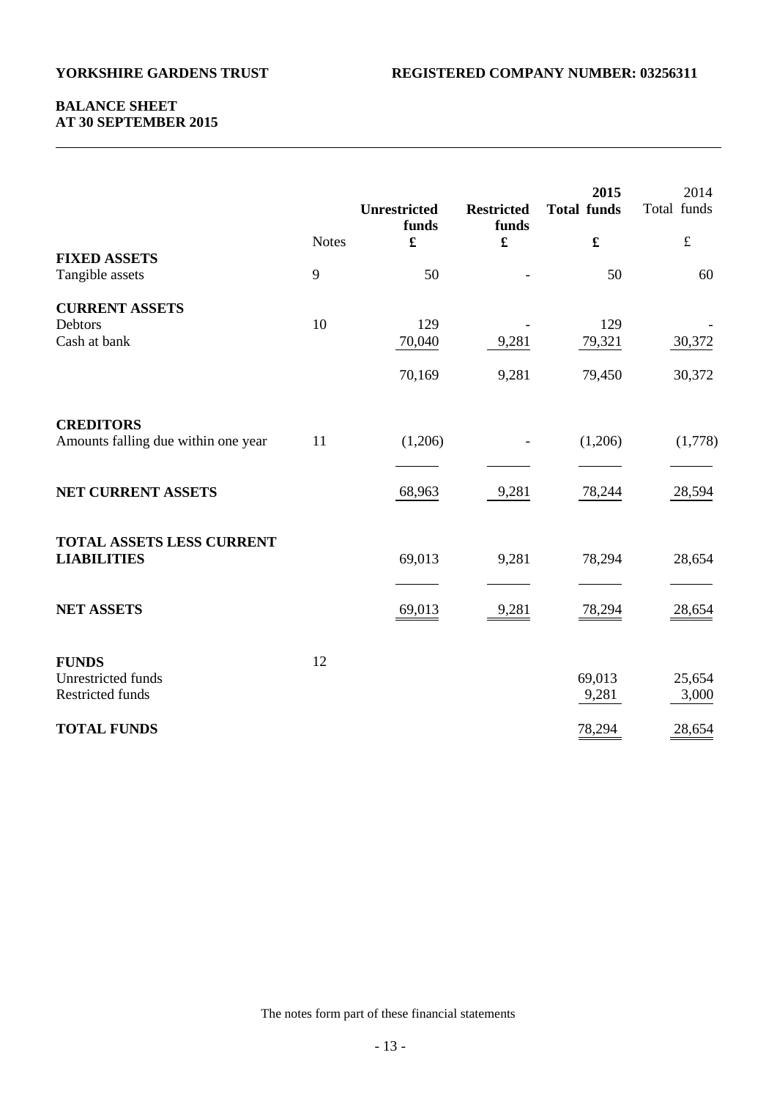## **BALANCE SHEET AT 30 SEPTEMBER 2015**

|                                                               |              | <b>Unrestricted</b><br>funds | <b>Restricted</b><br>funds | 2015<br><b>Total funds</b> | 2014<br>Total funds |
|---------------------------------------------------------------|--------------|------------------------------|----------------------------|----------------------------|---------------------|
|                                                               | <b>Notes</b> | £                            | $\pmb{\mathfrak{L}}$       | $\pmb{\mathfrak{L}}$       | $\pounds$           |
| <b>FIXED ASSETS</b><br>Tangible assets                        | 9            | 50                           |                            | 50                         | 60                  |
| <b>CURRENT ASSETS</b><br>Debtors<br>Cash at bank              | 10           | 129<br>70,040                | 9,281                      | 129<br>79,321              | 30,372              |
|                                                               |              | 70,169                       | 9,281                      | 79,450                     | 30,372              |
| <b>CREDITORS</b><br>Amounts falling due within one year       | 11           | (1,206)                      |                            | (1,206)                    | (1,778)             |
| NET CURRENT ASSETS                                            |              | 68,963                       | 9,281                      | 78,244                     | 28,594              |
| <b>TOTAL ASSETS LESS CURRENT</b><br><b>LIABILITIES</b>        |              | 69,013                       | 9,281                      | 78,294                     | 28,654              |
| <b>NET ASSETS</b>                                             |              | 69,013                       | 9,281                      | 78,294                     | 28,654              |
| <b>FUNDS</b><br>Unrestricted funds<br><b>Restricted funds</b> | 12           |                              |                            | 69,013<br>9,281            | 25,654<br>3,000     |
| <b>TOTAL FUNDS</b>                                            |              |                              |                            | 78,294                     | 28,654              |

The notes form part of these financial statements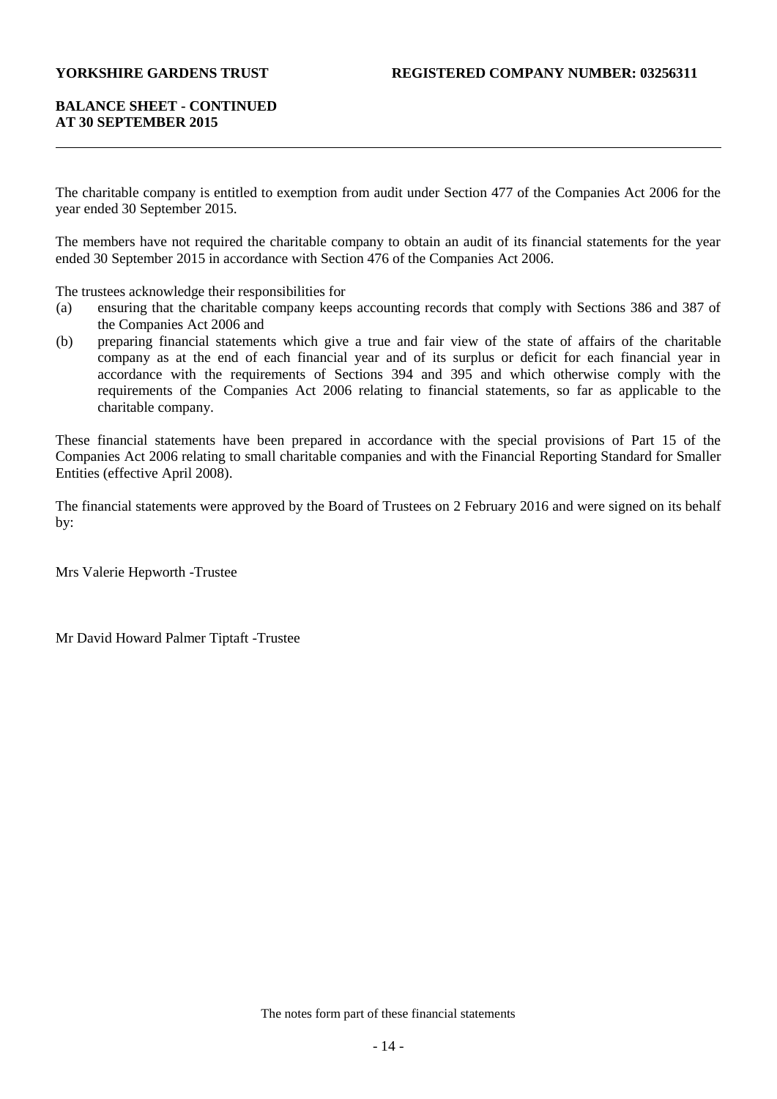## **BALANCE SHEET - CONTINUED AT 30 SEPTEMBER 2015**

The charitable company is entitled to exemption from audit under Section 477 of the Companies Act 2006 for the year ended 30 September 2015.

The members have not required the charitable company to obtain an audit of its financial statements for the year ended 30 September 2015 in accordance with Section 476 of the Companies Act 2006.

The trustees acknowledge their responsibilities for

- (a) ensuring that the charitable company keeps accounting records that comply with Sections 386 and 387 of the Companies Act 2006 and
- (b) preparing financial statements which give a true and fair view of the state of affairs of the charitable company as at the end of each financial year and of its surplus or deficit for each financial year in accordance with the requirements of Sections 394 and 395 and which otherwise comply with the requirements of the Companies Act 2006 relating to financial statements, so far as applicable to the charitable company.

These financial statements have been prepared in accordance with the special provisions of Part 15 of the Companies Act 2006 relating to small charitable companies and with the Financial Reporting Standard for Smaller Entities (effective April 2008).

The financial statements were approved by the Board of Trustees on 2 February 2016 and were signed on its behalf by:

Mrs Valerie Hepworth -Trustee

Mr David Howard Palmer Tiptaft -Trustee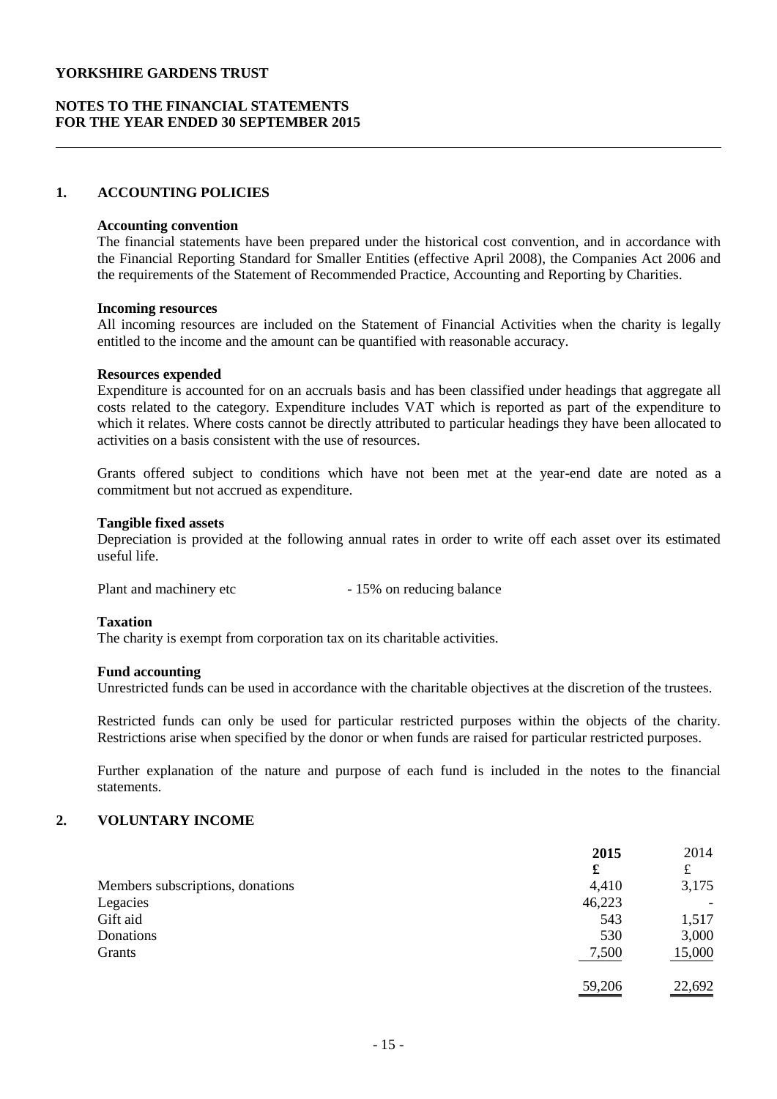## **NOTES TO THE FINANCIAL STATEMENTS FOR THE YEAR ENDED 30 SEPTEMBER 2015**

## **1. ACCOUNTING POLICIES**

#### **Accounting convention**

The financial statements have been prepared under the historical cost convention, and in accordance with the Financial Reporting Standard for Smaller Entities (effective April 2008), the Companies Act 2006 and the requirements of the Statement of Recommended Practice, Accounting and Reporting by Charities.

#### **Incoming resources**

All incoming resources are included on the Statement of Financial Activities when the charity is legally entitled to the income and the amount can be quantified with reasonable accuracy.

#### **Resources expended**

Expenditure is accounted for on an accruals basis and has been classified under headings that aggregate all costs related to the category. Expenditure includes VAT which is reported as part of the expenditure to which it relates. Where costs cannot be directly attributed to particular headings they have been allocated to activities on a basis consistent with the use of resources.

Grants offered subject to conditions which have not been met at the year-end date are noted as a commitment but not accrued as expenditure.

#### **Tangible fixed assets**

Depreciation is provided at the following annual rates in order to write off each asset over its estimated useful life.

Plant and machinery etc - 15% on reducing balance

#### **Taxation**

The charity is exempt from corporation tax on its charitable activities.

#### **Fund accounting**

Unrestricted funds can be used in accordance with the charitable objectives at the discretion of the trustees.

Restricted funds can only be used for particular restricted purposes within the objects of the charity. Restrictions arise when specified by the donor or when funds are raised for particular restricted purposes.

Further explanation of the nature and purpose of each fund is included in the notes to the financial statements.

## **2. VOLUNTARY INCOME**

|                                  | 2015   | 2014                     |
|----------------------------------|--------|--------------------------|
|                                  | £      | £                        |
| Members subscriptions, donations | 4,410  | 3,175                    |
| Legacies                         | 46,223 | $\overline{\phantom{a}}$ |
| Gift aid                         | 543    | 1,517                    |
| Donations                        | 530    | 3,000                    |
| Grants                           | 7,500  | 15,000                   |
|                                  | 59,206 | 22,692                   |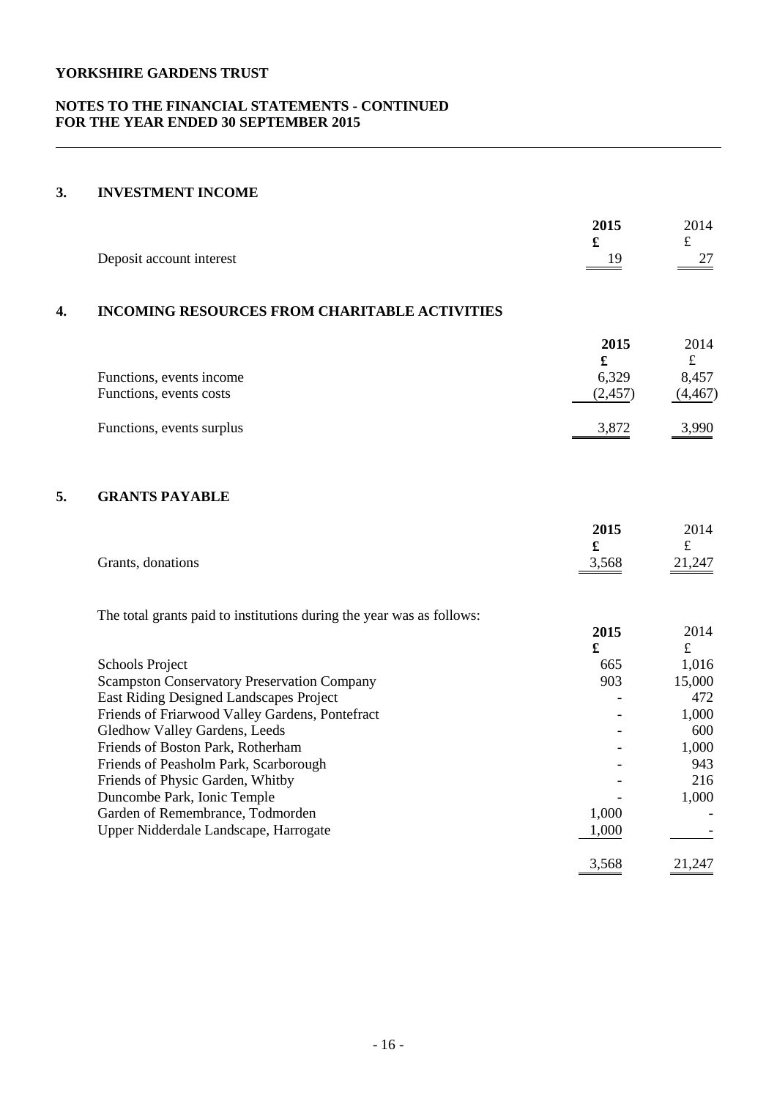## **NOTES TO THE FINANCIAL STATEMENTS - CONTINUED FOR THE YEAR ENDED 30 SEPTEMBER 2015**

## **3. INVESTMENT INCOME**

|    | Deposit account interest                                              | 2015<br>£<br>19 | 2014<br>£<br>27 |
|----|-----------------------------------------------------------------------|-----------------|-----------------|
| 4. | <b>INCOMING RESOURCES FROM CHARITABLE ACTIVITIES</b>                  |                 |                 |
|    |                                                                       | 2015            | 2014            |
|    |                                                                       | £               | $\pounds$       |
|    | Functions, events income                                              | 6,329           | 8,457           |
|    | Functions, events costs                                               | (2, 457)        | (4, 467)        |
|    | Functions, events surplus                                             | 3,872           | 3,990           |
| 5. | <b>GRANTS PAYABLE</b>                                                 |                 |                 |
|    |                                                                       | 2015            | 2014            |
|    |                                                                       | £               | £               |
|    | Grants, donations                                                     | 3,568           | 21,247          |
|    | The total grants paid to institutions during the year was as follows: |                 |                 |
|    |                                                                       | 2015            | 2014            |
|    |                                                                       | £               | $\pounds$       |
|    | <b>Schools Project</b>                                                | 665             | 1,016           |
|    | <b>Scampston Conservatory Preservation Company</b>                    | 903             | 15,000          |
|    | East Riding Designed Landscapes Project                               |                 | 472             |
|    | Friends of Friarwood Valley Gardens, Pontefract                       |                 | 1,000           |
|    | Gledhow Valley Gardens, Leeds                                         |                 | 600             |
|    | Friends of Boston Park, Rotherham                                     |                 | 1,000           |
|    | Friends of Peasholm Park, Scarborough                                 |                 | 943             |
|    | Friends of Physic Garden, Whitby                                      |                 | 216             |
|    | Duncombe Park, Ionic Temple                                           |                 | 1,000           |
|    | Garden of Remembrance, Todmorden                                      | 1,000           |                 |
|    | Upper Nidderdale Landscape, Harrogate                                 | 1,000           |                 |
|    |                                                                       | 3,568           | 21,247          |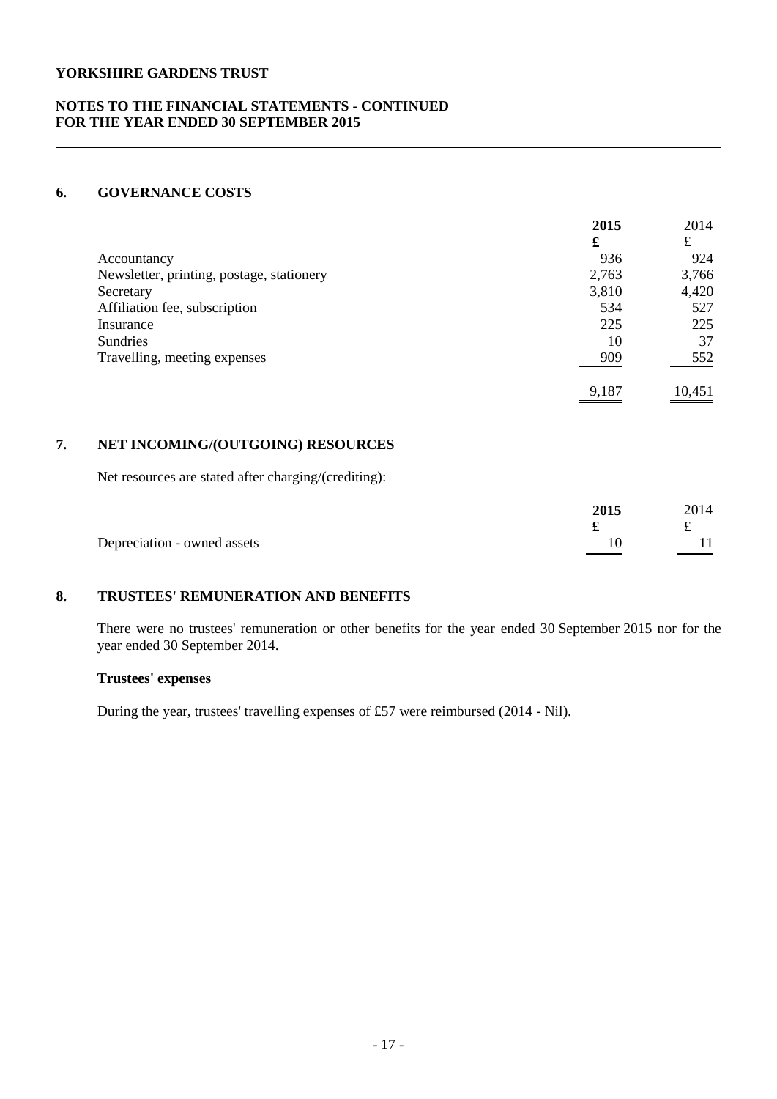## **NOTES TO THE FINANCIAL STATEMENTS - CONTINUED FOR THE YEAR ENDED 30 SEPTEMBER 2015**

## **6. GOVERNANCE COSTS**

|                                           | 2015  | 2014   |
|-------------------------------------------|-------|--------|
|                                           | £     | £      |
| Accountancy                               | 936   | 924    |
| Newsletter, printing, postage, stationery | 2,763 | 3,766  |
| Secretary                                 | 3,810 | 4,420  |
| Affiliation fee, subscription             | 534   | 527    |
| Insurance                                 | 225   | 225    |
| <b>Sundries</b>                           | 10    | 37     |
| Travelling, meeting expenses              | 909   | 552    |
|                                           | 9,187 | 10.451 |

## **7. NET INCOMING/(OUTGOING) RESOURCES**

Net resources are stated after charging/(crediting):

|                             | 2015 | 2014 |
|-----------------------------|------|------|
|                             |      |      |
| Depreciation - owned assets |      |      |

# **8. TRUSTEES' REMUNERATION AND BENEFITS**

There were no trustees' remuneration or other benefits for the year ended 30 September 2015 nor for the year ended 30 September 2014.

## **Trustees' expenses**

During the year, trustees' travelling expenses of £57 were reimbursed (2014 - Nil).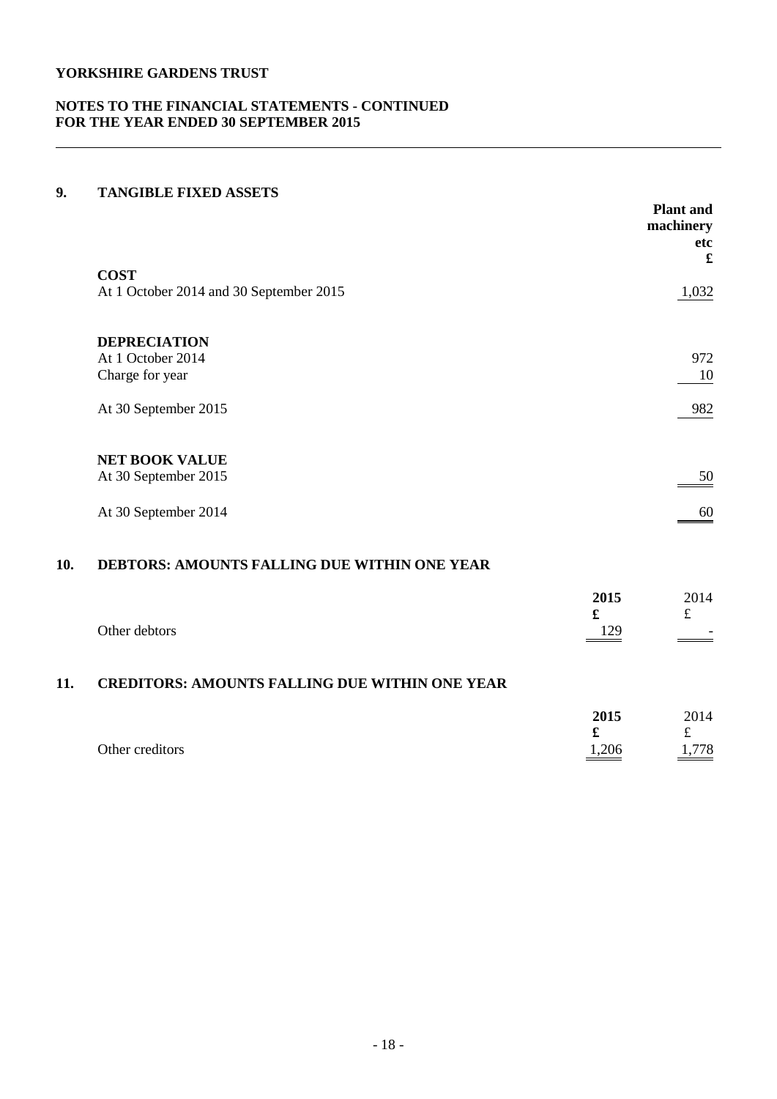## **NOTES TO THE FINANCIAL STATEMENTS - CONTINUED FOR THE YEAR ENDED 30 SEPTEMBER 2015**

## **9. TANGIBLE FIXED ASSETS**

|                                         | <b>Plant</b> and<br>machinery<br>etc<br>£ |
|-----------------------------------------|-------------------------------------------|
| <b>COST</b>                             |                                           |
| At 1 October 2014 and 30 September 2015 | 1,032                                     |
| <b>DEPRECIATION</b>                     |                                           |
| At 1 October 2014                       | 972                                       |
| Charge for year                         | 10                                        |
| At 30 September 2015                    | 982                                       |
| <b>NET BOOK VALUE</b>                   |                                           |
| At 30 September 2015                    | 50                                        |
| At 30 September 2014                    | 60                                        |

## **10. DEBTORS: AMOUNTS FALLING DUE WITHIN ONE YEAR**

|     | Other debtors                                         | 2015<br>£<br>129 | 2014 |
|-----|-------------------------------------------------------|------------------|------|
| 11. | <b>CREDITORS: AMOUNTS FALLING DUE WITHIN ONE YEAR</b> |                  |      |
|     |                                                       | 2015<br>£        | 2014 |
|     | Other creditors                                       | 1,206            | 778  |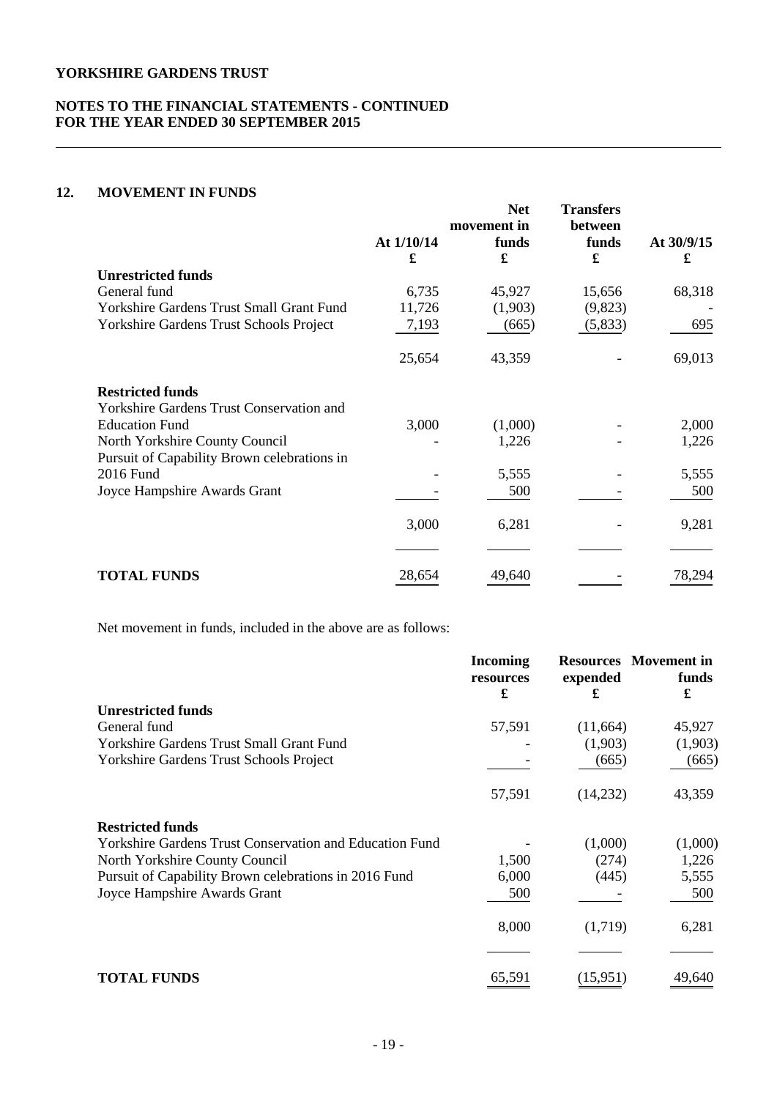## **NOTES TO THE FINANCIAL STATEMENTS - CONTINUED FOR THE YEAR ENDED 30 SEPTEMBER 2015**

## **12. MOVEMENT IN FUNDS**

|                                                          | At $1/10/14$<br>£ | <b>Net</b><br>movement in<br>funds<br>£ | <b>Transfers</b><br>between<br>funds<br>£ | At $30/9/15$<br>£ |
|----------------------------------------------------------|-------------------|-----------------------------------------|-------------------------------------------|-------------------|
| <b>Unrestricted funds</b>                                |                   |                                         |                                           |                   |
| General fund                                             | 6,735             | 45,927                                  | 15,656                                    | 68,318            |
| Yorkshire Gardens Trust Small Grant Fund                 | 11,726            | (1,903)                                 | (9,823)                                   |                   |
| Yorkshire Gardens Trust Schools Project                  | 7,193             | (665)                                   | (5,833)                                   | 695               |
|                                                          | 25,654            | 43,359                                  |                                           | 69,013            |
| <b>Restricted funds</b>                                  |                   |                                         |                                           |                   |
| <b>Yorkshire Gardens Trust Conservation and</b>          |                   |                                         |                                           |                   |
| <b>Education Fund</b>                                    | 3,000             | (1,000)                                 |                                           | 2,000             |
| North Yorkshire County Council                           |                   | 1,226                                   |                                           | 1,226             |
| Pursuit of Capability Brown celebrations in<br>2016 Fund |                   | 5,555                                   |                                           | 5,555             |
| Joyce Hampshire Awards Grant                             |                   | 500                                     |                                           | 500               |
|                                                          | 3,000             | 6,281                                   |                                           | 9,281             |
|                                                          |                   |                                         |                                           |                   |
| <b>TOTAL FUNDS</b>                                       | 28,654            | 49,640                                  |                                           | 78,294            |

Net movement in funds, included in the above are as follows:

|                                                                | <b>Incoming</b><br>resources<br>£ | expended<br>£ | <b>Resources</b> Movement in<br>funds<br>£ |
|----------------------------------------------------------------|-----------------------------------|---------------|--------------------------------------------|
| <b>Unrestricted funds</b>                                      |                                   |               |                                            |
| General fund                                                   | 57,591                            | (11,664)      | 45,927                                     |
| <b>Yorkshire Gardens Trust Small Grant Fund</b>                |                                   | (1,903)       | (1,903)                                    |
| Yorkshire Gardens Trust Schools Project                        |                                   | (665)         | (665)                                      |
|                                                                | 57,591                            | (14,232)      | 43,359                                     |
| <b>Restricted funds</b>                                        |                                   |               |                                            |
| <b>Yorkshire Gardens Trust Conservation and Education Fund</b> |                                   | (1,000)       | (1,000)                                    |
| North Yorkshire County Council                                 | 1,500                             | (274)         | 1,226                                      |
| Pursuit of Capability Brown celebrations in 2016 Fund          | 6,000                             | (445)         | 5,555                                      |
| Joyce Hampshire Awards Grant                                   | 500                               |               | 500                                        |
|                                                                | 8,000                             | (1,719)       | 6,281                                      |
|                                                                |                                   |               |                                            |
| <b>TOTAL FUNDS</b>                                             | 65,591                            | (15,951)      | 49,640                                     |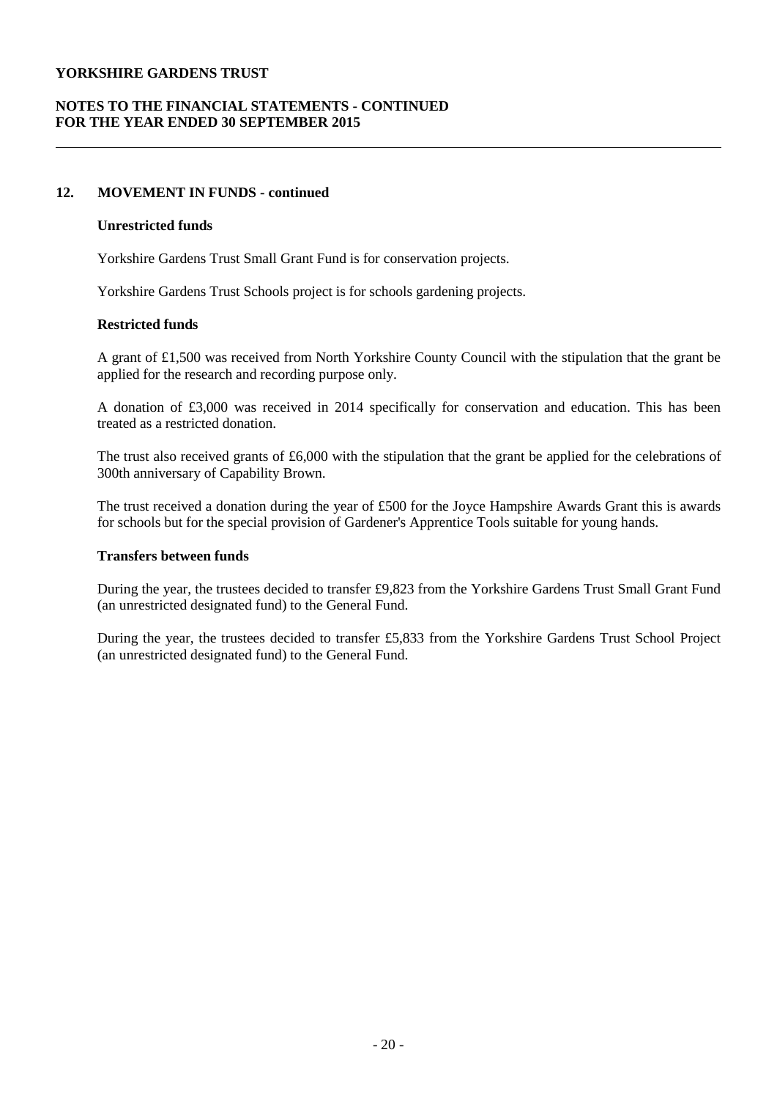## **NOTES TO THE FINANCIAL STATEMENTS - CONTINUED FOR THE YEAR ENDED 30 SEPTEMBER 2015**

## **12. MOVEMENT IN FUNDS - continued**

#### **Unrestricted funds**

Yorkshire Gardens Trust Small Grant Fund is for conservation projects.

Yorkshire Gardens Trust Schools project is for schools gardening projects.

#### **Restricted funds**

A grant of £1,500 was received from North Yorkshire County Council with the stipulation that the grant be applied for the research and recording purpose only.

A donation of £3,000 was received in 2014 specifically for conservation and education. This has been treated as a restricted donation.

The trust also received grants of £6,000 with the stipulation that the grant be applied for the celebrations of 300th anniversary of Capability Brown.

The trust received a donation during the year of £500 for the Joyce Hampshire Awards Grant this is awards for schools but for the special provision of Gardener's Apprentice Tools suitable for young hands.

#### **Transfers between funds**

During the year, the trustees decided to transfer £9,823 from the Yorkshire Gardens Trust Small Grant Fund (an unrestricted designated fund) to the General Fund.

During the year, the trustees decided to transfer £5,833 from the Yorkshire Gardens Trust School Project (an unrestricted designated fund) to the General Fund.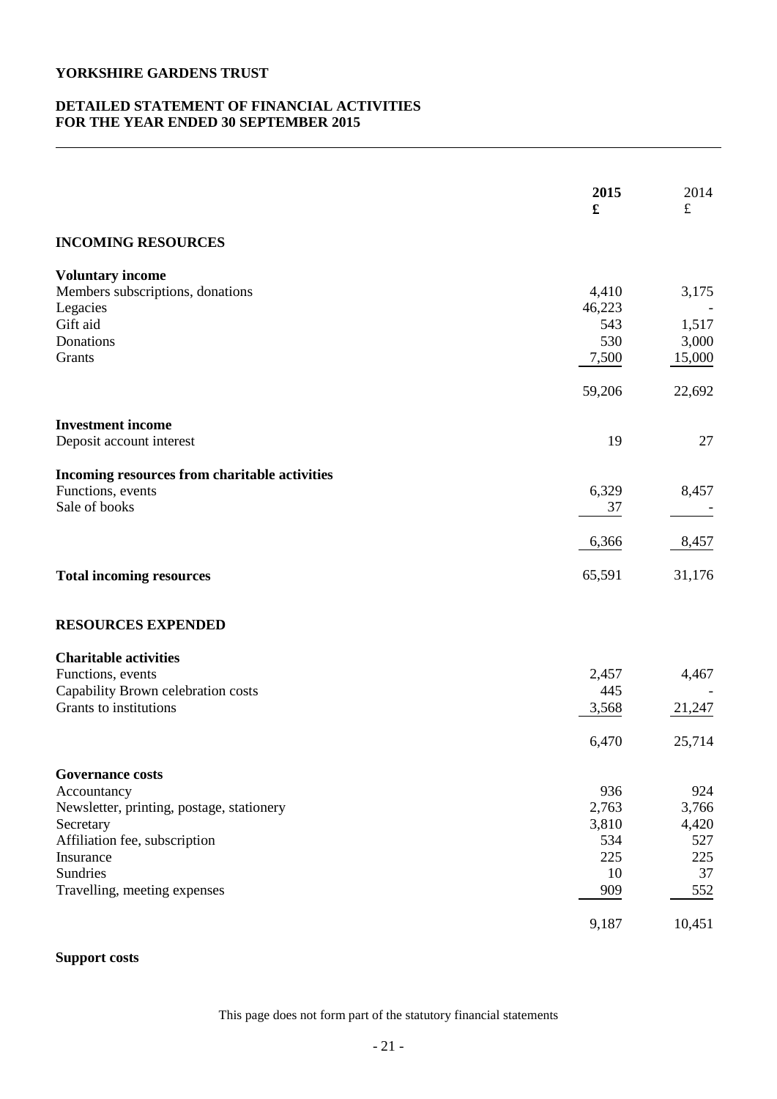## **DETAILED STATEMENT OF FINANCIAL ACTIVITIES FOR THE YEAR ENDED 30 SEPTEMBER 2015**

|                                                              | 2015<br>£      | 2014<br>$f_{\rm L}$ |
|--------------------------------------------------------------|----------------|---------------------|
| <b>INCOMING RESOURCES</b>                                    |                |                     |
| <b>Voluntary income</b>                                      |                |                     |
| Members subscriptions, donations                             | 4,410          | 3,175               |
| Legacies<br>Gift aid                                         | 46,223<br>543  | 1,517               |
| Donations                                                    | 530            | 3,000               |
| Grants                                                       | 7,500          | 15,000              |
|                                                              | 59,206         | 22,692              |
| <b>Investment income</b>                                     |                |                     |
| Deposit account interest                                     | 19             | 27                  |
| Incoming resources from charitable activities                |                |                     |
| Functions, events                                            | 6,329          | 8,457               |
| Sale of books                                                | 37             |                     |
|                                                              | 6,366          | 8,457               |
| <b>Total incoming resources</b>                              | 65,591         | 31,176              |
| <b>RESOURCES EXPENDED</b>                                    |                |                     |
| <b>Charitable activities</b>                                 |                |                     |
| Functions, events                                            | 2,457          | 4,467               |
| Capability Brown celebration costs<br>Grants to institutions | 445<br>3,568   | 21,247              |
|                                                              |                |                     |
|                                                              | 6,470          | 25,714              |
| <b>Governance costs</b>                                      |                |                     |
| Accountancy                                                  | 936            | 924                 |
| Newsletter, printing, postage, stationery<br>Secretary       | 2,763<br>3,810 | 3,766               |
| Affiliation fee, subscription                                | 534            | 4,420<br>527        |
| Insurance                                                    | 225            | 225                 |
| Sundries                                                     | 10             | 37                  |
| Travelling, meeting expenses                                 | 909            | 552                 |
|                                                              | 9,187          | 10,451              |

# **Support costs**